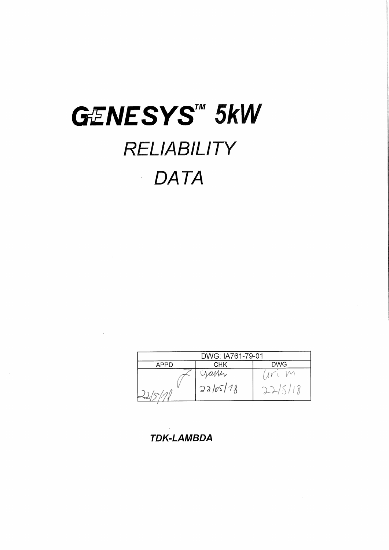# GENESYS™ 5kW RELIABILITY **DATA**  $\hat{\mathcal{L}}$

 $\mathcal{L}^{\text{max}}_{\text{max}}$  and

 $\label{eq:2.1} \frac{1}{2} \int_{\mathbb{R}^3} \frac{1}{\sqrt{2}} \, \frac{1}{\sqrt{2}} \, \frac{1}{\sqrt{2}} \, \frac{1}{\sqrt{2}} \, \frac{1}{\sqrt{2}} \, \frac{1}{\sqrt{2}} \, \frac{1}{\sqrt{2}} \, \frac{1}{\sqrt{2}} \, \frac{1}{\sqrt{2}} \, \frac{1}{\sqrt{2}} \, \frac{1}{\sqrt{2}} \, \frac{1}{\sqrt{2}} \, \frac{1}{\sqrt{2}} \, \frac{1}{\sqrt{2}} \, \frac{1}{\sqrt{2}} \, \frac{1}{\sqrt{2}} \,$ 

| DWG: IA761-79-01<br>DWG |                    |  |  |  |  |  |  |  |  |
|-------------------------|--------------------|--|--|--|--|--|--|--|--|
| APPD                    | CHK                |  |  |  |  |  |  |  |  |
|                         | yamz<br>$2a/65/78$ |  |  |  |  |  |  |  |  |

**TDK-LAMBDA**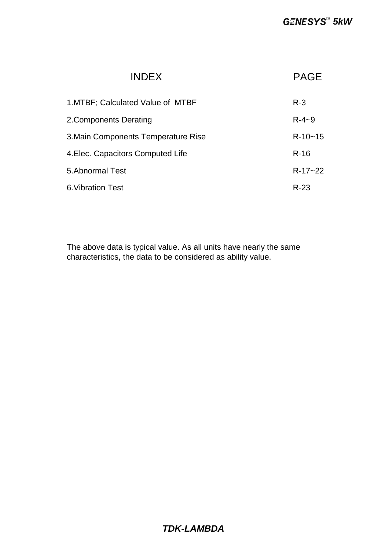| <b>INDEX</b>                        | <b>PAGE</b> |
|-------------------------------------|-------------|
| 1. MTBF; Calculated Value of MTBF   | $R - 3$     |
| 2. Components Derating              | $R - 4 - 9$ |
| 3. Main Components Temperature Rise | $R-10-15$   |
| 4. Elec. Capacitors Computed Life   | $R-16$      |
| 5. Abnormal Test                    | $R-17-22$   |
| 6. Vibration Test                   | $R-23$      |

The above data is typical value. As all units have nearly the same characteristics, the data to be considered as ability value.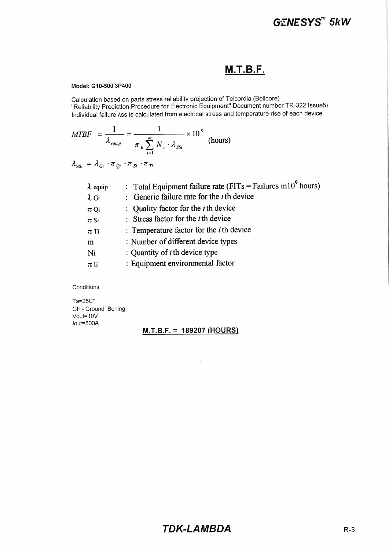### **M.T.B.F.**

#### Model: G10-500 3P400

Calculation based on parts stress reliability projection of Telcordia (Bellcore) "Reliability Prediction Procedure for Electronic Equipment" Document number TR-322, Issue5) Individual failure Ass is calculated from electrical stress and temperature rise of each device.

$$
MTBF = \frac{1}{\lambda_{\text{equip}}} = \frac{1}{\pi_E \sum_{i=1}^{m} N_i \cdot \lambda_{\text{SSI}}} \times 10^9 \text{ (hours)}
$$

 $\lambda_{\text{SSI}} = \lambda_{Gi} \cdot \pi_{Di} \cdot \pi_{Si} \cdot \pi_{Ti}$ 

| $\lambda$ equip<br>$\lambda$ Gi | : Total Equipment failure rate (FITs = Failures in 10 <sup>9</sup> hours)<br>: Generic failure rate for the $i$ th device |
|---------------------------------|---------------------------------------------------------------------------------------------------------------------------|
| $\pi$ Qi                        | : Quality factor for the <i>i</i> th device                                                                               |
| $\pi$ Si                        | : Stress factor for the $i$ th device                                                                                     |
| $\pi$ Ti                        | : Temperature factor for the $i$ th device                                                                                |
| m                               | : Number of different device types                                                                                        |
| Ni                              | : Quantity of $i$ th device type                                                                                          |
| $\pi E$                         | : Equipment environmental factor                                                                                          |

Conditions:

Ta=25C° GF - Ground, Bening Vout=10V lout=500A

#### <u>M.T.B.F. = 189207 (HOURS)</u>

 $\sim$ 

 $\sim$   $\sim$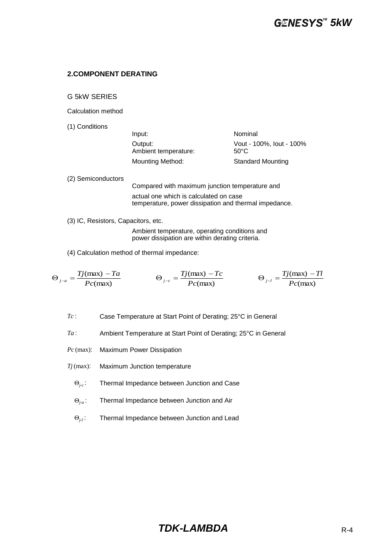#### **2.COMPONENT DERATING**

G 5kW SERIES

Calculation method

(1) Conditions

| Input:                          | Nominal                          |
|---------------------------------|----------------------------------|
| Output:<br>Ambient temperature: | Vout - 100%, lout - 100%<br>50°C |
| <b>Mounting Method:</b>         | <b>Standard Mounting</b>         |

(2) Semiconductors Compared with maximum junction temperature and

actual one which is calculated on case temperature, power dissipation and thermal impedance.

(3) IC, Resistors, Capacitors, etc.

Ambient temperature, operating conditions and power dissipation are within derating criteria.

(4) Calculation method of thermal impedance:

$$
\Theta_{j-a} = \frac{Tj(\text{max}) - Ta}{Pc(\text{max})} \qquad \Theta_{j-c} = \frac{Tj(\text{max}) - Tc}{Pc(\text{max})} \qquad \Theta_{j-l} = \frac{Tj(\text{max}) - Tl}{Pc(\text{max})}
$$

*Tc* : Case Temperature at Start Point of Derating; 25°C in General

*Ta* : Ambient Temperature at Start Point of Derating; 25°C in General

- *Pc* (max): Maximum Power Dissipation
- *Tj* (max): Maximum Junction temperature
	- Θ*j-c* : Thermal Impedance between Junction and Case
	- Θ*j-a* : Thermal Impedance between Junction and Air
	- Θ*j-l* : Thermal Impedance between Junction and Lead

### **TDK-LAMBDA** R-4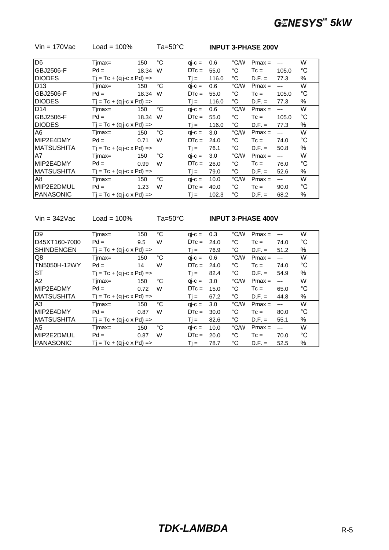| Timax= | 150   | $^{\circ}C$                                                                                                                                                                                                            | $q\mathbf{i}$ -c = | 0.6   | °C/W         | $Pmax =$ | $---$          | W            |
|--------|-------|------------------------------------------------------------------------------------------------------------------------------------------------------------------------------------------------------------------------|--------------------|-------|--------------|----------|----------------|--------------|
| $Pd =$ | 18.34 | W                                                                                                                                                                                                                      | $DTC =$            | 55.0  | °C           | $T_c =$  | 105.0          | $^{\circ}$ C |
|        |       |                                                                                                                                                                                                                        | $Ti =$             | 116.0 | °C           | $D.F. =$ | 77.3           | %            |
| Timax= | 150   | °С                                                                                                                                                                                                                     | $q\mathbf{i}$ -c = | 0.6   | °C/W         | $Pmax =$ | $---$          | W            |
| $Pd =$ | 18.34 | W                                                                                                                                                                                                                      | $DTC =$            | 55.0  | $^{\circ}$ C | $T_c =$  | 105.0          | °C           |
|        |       |                                                                                                                                                                                                                        | $Ti =$             | 116.0 | °C           | $D.F. =$ | 77.3           | %            |
| Tjmax= | 150   | $^{\circ}C$                                                                                                                                                                                                            | $q\mathbf{i}$ -c = | 0.6   | °C/W         | $Pmax =$ | $---$          | W            |
| $Pd =$ | 18.34 | W                                                                                                                                                                                                                      | $DTC =$            | 55.0  | $^{\circ}$ C | $T_c =$  | 105.0          | $^{\circ}$ C |
|        |       |                                                                                                                                                                                                                        | $Ti =$             | 116.0 | °C           | $D.F. =$ | 77.3           | %            |
| Timax= | 150   | $^{\circ}C$                                                                                                                                                                                                            | $q\mathbf{i}$ -c = | 3.0   | °C/W         | $Pmax =$ | $---$          | W            |
| $Pd =$ | 0.71  | W                                                                                                                                                                                                                      | $DTC =$            | 24.0  | °C           | $T_c =$  | 74.0           | °C           |
|        |       |                                                                                                                                                                                                                        | Ti =               | 76.1  | $^{\circ}C$  | $D.F. =$ | 50.8           | %            |
| Timax= | 150   | $^{\circ}C$                                                                                                                                                                                                            | $q\mathbf{i}$ -c = | 3.0   | °C/W         | $Pmax =$ | $\overline{a}$ | W            |
| $Pd =$ | 0.99  | W                                                                                                                                                                                                                      | $DTC =$            | 26.0  | °C           | $Tc =$   | 76.0           | °C           |
|        |       |                                                                                                                                                                                                                        | Ti =               | 79.0  | °C           | $D.F. =$ | 52.6           | %            |
| Timax= | 150   | $^{\circ}C$                                                                                                                                                                                                            | $q\mathbf{i}$ -c = | 10.0  | °C/W         | $Pmax =$ | $\overline{a}$ | W            |
| $Pd =$ | 1.23  | W                                                                                                                                                                                                                      | $DTC =$            | 40.0  | °C           | $T_c =$  | 90.0           | °C           |
|        |       |                                                                                                                                                                                                                        | Ti =               | 102.3 | °С           | $D.F. =$ | 68.2           | %            |
|        |       | $Tj = Tc + (q j-c \times Pd) = >$<br>$Tj = Tc + (q j-c \times Pd) = >$<br>$Tj = Tc + (q j-c \times Pd)$ =><br>$Tj = Tc + (q j-c \times Pd)$ =><br>$T_i = Tc + (q i-c \times Pd) =$<br>$T_i = Tc + (q i-c \times Pd) =$ |                    |       |              |          |                |              |

Vin = 170Vac Load = 100% Ta=50°C **INPUT 3-PHASE 200V**

Vin = 342Vac Load = 100% Ta=50°C **INPUT 3-PHASE 400V**

| D9                | Timax=                              | 150  | °C          | $q\rightarrow c =$ | 0.3      | °C/W | $Pmax =$ | $---$ | W  |
|-------------------|-------------------------------------|------|-------------|--------------------|----------|------|----------|-------|----|
| ID45XT160-7000    | $Pd =$                              | 9.5  | W           | $DTC =$            | 24.0     | °C   | $T_c =$  | 74.0  | °C |
| <b>SHINDENGEN</b> | $Tj = Tc + (q j-c \times Pd)$ =>    | Ti = | 76.9        | °C                 | $D.F. =$ | 51.2 | %        |       |    |
| Q8                | $Timax =$                           | 150  | °C          | $q\mathbf{i}$ -c = | 0.6      | °C/W | $Pmax =$ | $---$ | W  |
| TN5050H-12WY      | $Pd =$                              | 14   | W           | $DTC =$            | 24.0     | °C   | $T_c =$  | 74.0  | °C |
| <b>ST</b>         | $Tj = Tc + (q j - c \times Pd) = >$ | Ti = | 82.4        | °C                 | $D.F. =$ | 54.9 | %        |       |    |
| A2                | Timax=                              | 150  | $^{\circ}C$ | $q\mathbf{i}$ -c = | 3.0      | °C/W | $Pmax =$ | $---$ | W  |
| MIP2E4DMY         | $Pd =$                              | 0.72 | W           | $DTc =$            | 15.0     | °C   | $Tc =$   | 65.0  | °C |
| <b>MATSUSHITA</b> | $Ti = Tc + (q i-c \times Pd)$ =>    |      |             | Ti =               | 67.2     | °C   | $D.F. =$ | 44.8  | %  |
| A <sub>3</sub>    | Timax=                              | 150  | °C          | $q\mathbf{i}$ -c = | 3.0      | °C/W | $Pmax =$ | $---$ | W  |
| MIP2E4DMY         | $Pd =$                              | 0.87 | W           | $DTc =$            | 30.0     | °C   | $T_c =$  | 80.0  | °C |
| <b>MATSUSHITA</b> | $Tj = Tc + (q j-c \times Pd)$ =>    |      |             | Ti =               | 82.6     | °C   | $D.F. =$ | 55.1  | %  |
| A <sub>5</sub>    | $Timax =$                           | 150  | °C          | $q\mathbf{i}$ -c = | 10.0     | °C/W | $Pmax =$ | $---$ | W  |
| MIP2E2DMUL        | $Pd =$                              | 0.87 | W           | $DTc =$            | 20.0     | °C   | $T_c =$  | 70.0  | °C |
| <b>IPANASONIC</b> | $Ti = Tc + (q i-c \times Pd)$ =>    |      |             | $Ti =$             | 78.7     | °C   | $D.F. =$ | 52.5  | %  |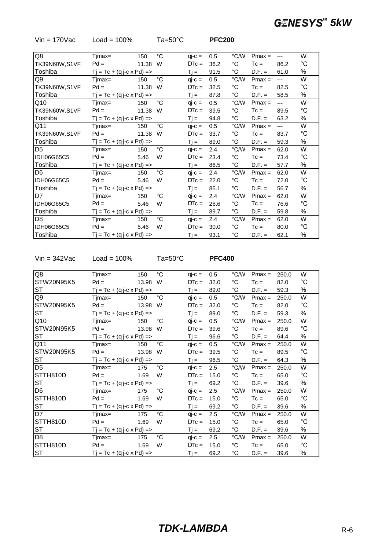| $V$ in = 170 $V$ ac | Load = $100\%$                    |                                  | $Ta=50^{\circ}C$ |          | <b>PFC200</b> |                   |          |                |                   |
|---------------------|-----------------------------------|----------------------------------|------------------|----------|---------------|-------------------|----------|----------------|-------------------|
|                     |                                   |                                  |                  |          |               |                   |          |                | W                 |
| Q8                  | $Timax =$                         | 150                              | $^{\circ}C$      | $qi-c =$ | 0.5           | °C/W              | $Pmax =$ | $---$          |                   |
| TK39N60W, S1VF      | $Pd =$                            | 11.38                            | W                | $DTC =$  | 36.2          | $^{\circ}$ C      | $T_c =$  | 86.2           | °C                |
| Toshiba             | $Tj = Tc + (q j-c \times Pd) = >$ |                                  |                  | $Tj =$   | 91.5          | $^{\circ}$ C      | $D.F. =$ | 61.0           | %                 |
| Q9                  | Timax=                            | 150                              | $^{\circ}C$      | $qj-c =$ | 0.5           | °C/W              | $Pmax =$ | $---$          | W                 |
| TK39N60W,S1VF       | $Pd =$                            | 11.38 W                          |                  | $DTC =$  | 32.5          | $^{\circ}{\rm C}$ | $T_c =$  | 82.5           | $^{\circ}{\rm C}$ |
| Toshiba             | $Tj = Tc + (q j-c \times Pd) = >$ |                                  |                  | $Tj =$   | 87.8          | $^{\circ}{\rm C}$ | $D.F. =$ | 58.5           | %                 |
| Q10                 | Tjmax=                            | 150                              | $^{\circ}C$      | $qi-c =$ | 0.5           | $^{\circ}$ C/W    | $Pmax =$ | $\overline{a}$ | W                 |
| TK39N60W, S1VF      | $Pd =$                            | 11.38                            | W                | $DTc =$  | 39.5          | $^{\circ}C$       | $T_c =$  | 89.5           | $^{\circ}C$       |
| Toshiba             |                                   | $Tj = Tc + (q j-c \times Pd)$ => |                  |          | 94.8          | $^{\circ}$ C      | $D.F. =$ | 63.2           | %                 |
| Q11                 | Tjmax=                            | 150                              | $^{\circ}C$      | $qi-c =$ | 0.5           | °C/W              | $Pmax =$ | $---$          | W                 |
| TK39N60W, S1VF      | $Pd =$                            | 11.38                            | W                | $DTC =$  | 33.7          | $^{\circ}{\rm C}$ | $T_c =$  | 83.7           | $^{\circ}C$       |
| Toshiba             | $Tj = Tc + (q j-c \times Pd) = >$ |                                  |                  | $Tj =$   | 89.0          | $^{\circ}{\rm C}$ | $D.F. =$ | 59.3           | %                 |
| D <sub>5</sub>      | Tjmax=                            | 150                              | $^{\circ}C$      | $qi-c =$ | 2.4           | $^{\circ}$ C/W    | $Pmax =$ | 62.0           | W                 |
| IDH06G65C5          | $Pd =$                            | 5.46                             | W                | $DTC =$  | 23.4          | $^{\circ}C$       | $T_c =$  | 73.4           | $^{\circ}C$       |
| Toshiba             | $Tj = Tc + (q j-c \times Pd) = >$ |                                  |                  | $Tj =$   | 86.5          | $^{\circ}$ C      | $D.F. =$ | 57.7           | %                 |
| D <sub>6</sub>      | Tjmax=                            | 150                              | $^{\circ}C$      | $qi-c =$ | 2.4           | °C/W              | $Pmax =$ | 62.0           | W                 |
| <b>IDH06G65C5</b>   | $Pd =$                            | 5.46                             | W                | $DTc =$  | 22.0          | $^{\circ}$ C      | $T_c =$  | 72.0           | $^{\circ}C$       |
| Toshiba             | $Tj = Tc + (q j-c \times Pd)$ =>  |                                  |                  | $Tj =$   | 85.1          | $^{\circ}$ C      | $D.F. =$ | 56.7           | %                 |
| D7                  | Tjmax=                            | 150                              | $^{\circ}C$      | $qi-c =$ | 2.4           | $^{\circ}$ C/W    | $Pmax =$ | 62.0           | W                 |
| <b>IDH06G65C5</b>   | $Pd =$                            | 5.46                             | W                | $DTC =$  | 26.6          | $^{\circ}C$       | $T_c =$  | 76.6           | $^{\circ}C$       |
| Toshiba             | $Tj = Tc + (q j-c \times Pd)$ =>  |                                  |                  | $Tj =$   | 89.7          | $^{\circ}C$       | $D.F. =$ | 59.8           | %                 |
| D <sub>8</sub>      | Tjmax=                            | 150                              | °C               | $qi-c =$ | 2.4           | °C/W              | $Pmax =$ | 62.0           | W                 |
| <b>IDH06G65C5</b>   | $Pd =$                            | 5.46                             | W                | $DTc =$  | 30.0          | $^{\circ}$ C      | $T_c =$  | 80.0           | $^{\circ}C$       |
| Toshiba             | $Tj = Tc + (q j-c \times Pd)$ =>  |                                  |                  | $Tj =$   | 93.1          | $^{\circ}{\rm C}$ | $D.F. =$ | 62.1           | $\%$              |

Vin = 342Vac Load = 100% Ta=50°C **PFC400**

| Q8             | Tjmax=                              | 150    | $^{\circ}$ C | $qi-c =$          | 0.5      | $\degree$ C/W     | $Pmax =$ | 250.0 | W           |
|----------------|-------------------------------------|--------|--------------|-------------------|----------|-------------------|----------|-------|-------------|
| STW20N95K5     | $Pd =$                              | 13.98  | W            | $DTC =$           | 32.0     | $^{\circ}$ C      | $T_c =$  | 82.0  | $^{\circ}C$ |
| ST             | $Tj = Tc + (q j - c \times Pd) = >$ | $Tj =$ | 89.0         | $^{\circ}$ C      | $D.F. =$ | 59.3              | %        |       |             |
| Q9             | Tjmax=                              | 150    | °C           | $qi-c =$          | 0.5      | °C/W              | $Pmax =$ | 250.0 | W           |
| STW20N95K5     | $Pd =$                              | 13.98  | W            | $DTC =$           | 32.0     | $^{\circ}$ C      | $T_c =$  | 82.0  | $^{\circ}C$ |
| ST             | $Tj = Tc + (q j-c \times Pd)$ =>    |        |              | $Ti =$            | 89.0     | $^{\circ}{\rm C}$ | $D.F. =$ | 59.3  | %           |
| Q10            | Tjmax=                              | 150    | $^{\circ}$ C | $qi-c =$          | 0.5      | °C/W              | $Pmax =$ | 250.0 | W           |
| STW20N95K5     | $Pd =$                              | 13.98  | W            | $DTC =$           | 39.6     | $^{\circ}$ C      | $T_c =$  | 89.6  | $^{\circ}C$ |
| <b>ST</b>      | $Tj = Tc + (q j-c x Pd) = >$        | $Tj =$ | 96.6         | $^{\circ}{\rm C}$ | $D.F. =$ | 64.4              | %        |       |             |
| Q11            | Timax=                              | 150    | $^{\circ}$ C | $qi-c =$          | 0.5      | $\degree$ C/W     | $Pmax =$ | 250.0 | W           |
| STW20N95K5     | $Pd =$                              | 13.98  | W            | $DTC =$           | 39.5     | $^{\circ}$ C      | $T_c =$  | 89.5  | $^{\circ}C$ |
| ST             | $Tj = Tc + (q j-c \times Pd)$ =>    | $Tj =$ | 96.5         | $^{\circ}$ C      | $D.F. =$ | 64.3              | %        |       |             |
| D <sub>5</sub> | Tjmax=                              | 175    | $^{\circ}$ C | $qi-c =$          | 2.5      | °C/W              | $Pmax =$ | 250.0 | W           |
| STTH810D       | $Pd =$                              | 1.69   | W            | $DTC =$           | 15.0     | $^{\circ}$ C      | $Tc =$   | 65.0  | $^{\circ}C$ |
| <b>ST</b>      | $Tj = Tc + (q j-c \times Pd)$ =>    |        |              | $Ti =$            | 69.2     | $^{\circ}{\rm C}$ | $D.F. =$ | 39.6  | %           |
| D <sub>6</sub> | Tjmax=                              | 175    | $^{\circ}$ C | $qi-c =$          | 2.5      | $\degree$ C/W     | $Pmax =$ | 250.0 | W           |
| STTH810D       | $Pd =$                              | 1.69   | W            | $DTC =$           | 15.0     | $^{\circ}$ C      | $T_c =$  | 65.0  | $^{\circ}C$ |
| <b>ST</b>      | $Tj = Tc + (q j - c \times Pd) = >$ |        |              | $Tj =$            | 69.2     | $^{\circ}C$       | $D.F. =$ | 39.6  | %           |
| D7             | Tjmax=                              | 175    | $^{\circ}$ C | $qi-c =$          | 2.5      | °C/W              | $Pmax =$ | 250.0 | W           |
| STTH810D       | $Pd =$                              | 1.69   | W            | $DTC =$           | 15.0     | $^{\circ}$ C      | $T_c =$  | 65.0  | $^{\circ}C$ |
| <b>ST</b>      | $Tj = Tc + (q j-c \times Pd)$ =>    |        |              | $Tj =$            | 69.2     | $^{\circ}$ C      | $D.F. =$ | 39.6  | %           |
| D <sub>8</sub> | Tjmax=                              | 175    | $^{\circ}C$  | $qj-c =$          | 2.5      | °C/W              | $Pmax =$ | 250.0 | W           |
| STTH810D       | $Pd =$                              | 1.69   | W            | $DTC =$           | 15.0     | $^{\circ}$ C      | $T_c =$  | 65.0  | $^{\circ}C$ |
| <b>ST</b>      | $Tj = Tc + (q j - c \times Pd) = >$ |        |              | $Tj =$            | 69.2     | $^{\circ}$ C      | $D.F. =$ | 39.6  | $\%$        |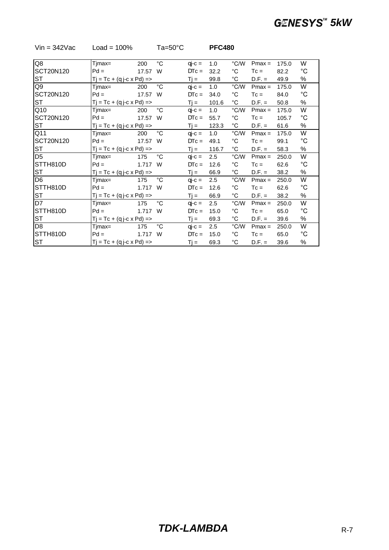| $\overline{Q8}$ | Tjmax=                              | 200                          | $^{\circ}C$  | $qi-c =$ | 1.0      | °C/W           | $Pmax =$ | 175.0 | W            |
|-----------------|-------------------------------------|------------------------------|--------------|----------|----------|----------------|----------|-------|--------------|
| SCT20N120       | $Pd =$                              | 17.57                        | W            | $DTC =$  | 32.2     | °C             | $Tc =$   | 82.2  | $^{\circ}C$  |
| ST              | $Tj = Tc + (q j-c x Pd) = >$        | $Ti =$                       | 99.8         | °C       | $D.F. =$ | 49.9           | %        |       |              |
| Q9              | Tjmax=                              | 200                          | $^{\circ}C$  | $qi-c =$ | 1.0      | $^{\circ}$ C/W | $Pmax =$ | 175.0 | W            |
| SCT20N120       | $Pd =$                              | 17.57                        | W            | $DTC =$  | 34.0     | °C             | $T_c =$  | 84.0  | $^{\circ}C$  |
| ST              |                                     | $Tj = Tc + (q j-c x Pd) = >$ |              |          |          | °C             | $D.F. =$ | 50.8  | %            |
| Q10             | Tjmax=                              | 200                          | $^{\circ}C$  | $qj-c =$ | 1.0      | °C/W           | $Pmax =$ | 175.0 | W            |
| SCT20N120       | $Pd =$                              | 17.57 W                      |              | $DTC =$  | 55.7     | $^{\circ}$ C   | $T_c =$  | 105.7 | $^{\circ}C$  |
| ST              | $Tj = Tc + (q j-c \times Pd) = >$   |                              |              | $Ti =$   | 123.3    | °C             | $D.F. =$ | 61.6  | %            |
| Q11             | Tjmax=                              | 200                          | $^{\circ}$ C | $qj-c =$ | 1.0      | °C/W           | $Pmax =$ | 175.0 | W            |
| SCT20N120       | $Pd =$                              | 17.57 W                      |              | $DTC =$  | 49.1     | $^{\circ}$ C   | $T_c =$  | 99.1  | $^{\circ}C$  |
| ST              | $Tj = Tc + (q j-c \times Pd)$ =>    |                              |              | $Tj =$   | 116.7    | °C             | $D.F. =$ | 58.3  | %            |
| D <sub>5</sub>  | Tjmax=                              | 175                          | $^{\circ}$ C | $qj-c =$ | 2.5      | °C/W           | $Pmax =$ | 250.0 | W            |
| STTH810D        | $Pd =$                              | 1.717 W                      |              | $DTC =$  | 12.6     | °C             | $T_c =$  | 62.6  | $^{\circ}C$  |
| ST              | $Tj = Tc + (q j - c \times Pd) = >$ |                              |              | $Ti =$   | 66.9     | °C             | $D.F. =$ | 38.2  | %            |
| D <sub>6</sub>  | Tjmax=                              | 175                          | $^{\circ}$ C | $qj-c =$ | 2.5      | °C/W           | $Pmax =$ | 250.0 | W            |
| STTH810D        | $Pd =$                              | 1.717 W                      |              | $DTC =$  | 12.6     | °C             | $T_c =$  | 62.6  | $^{\circ}C$  |
| ST              | $Tj = Tc + (q j - c \times Pd) = >$ |                              |              | $Tj =$   | 66.9     | °C             | $D.F. =$ | 38.2  | %            |
| D7              | Tjmax=                              | 175                          | $^{\circ}$ C | $qj-c =$ | 2.5      | °C/W           | $Pmax =$ | 250.0 | W            |
| STTH810D        | $Pd =$                              | 1.717 W                      |              | $DTC =$  | 15.0     | °C             | $T_c =$  | 65.0  | $^{\circ}C$  |
| ST              | $Tj = Tc + (q j-c \times Pd)$ =>    |                              |              | $Tj =$   | 69.3     | °C             | $D.F. =$ | 39.6  | %            |
| D <sub>8</sub>  | Tjmax=                              | 175                          | $^{\circ}C$  | $qj-c =$ | 2.5      | °C/W           | $Pmax =$ | 250.0 | W            |
| STTH810D        | $Pd =$                              | 1.717                        | W            | $DTC =$  | 15.0     | $^{\circ}$ C   | $T_c =$  | 65.0  | $^{\circ}$ C |
| ST              | $Tj = Tc + (q j - c \times Pd) = >$ |                              |              | $Tj =$   | 69.3     | °C             | $D.F. =$ | 39.6  | %            |

### Vin = 342Vac Load = 100% Ta=50°C **PFC480**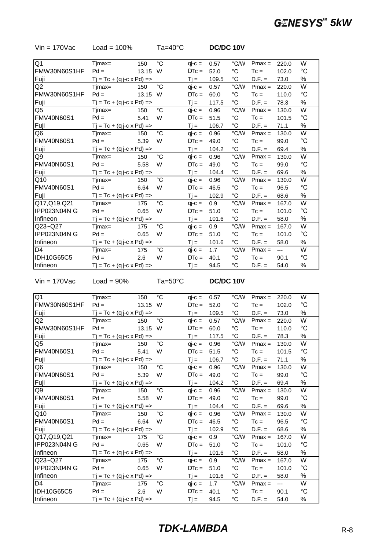| Tjmax= | 150   | $^{\circ}C$                                                                                                                                                                                                                                                                                                                                               | $qi-c =$ | 0.57        | °C/W         | $Pmax =$ | 220.0 | W           |
|--------|-------|-----------------------------------------------------------------------------------------------------------------------------------------------------------------------------------------------------------------------------------------------------------------------------------------------------------------------------------------------------------|----------|-------------|--------------|----------|-------|-------------|
| $Pd =$ | 13.15 | W                                                                                                                                                                                                                                                                                                                                                         | $DTc =$  | 52.0        | $^{\circ}C$  | $T_c =$  | 102.0 | $^{\circ}C$ |
|        |       |                                                                                                                                                                                                                                                                                                                                                           | $Tj =$   | 109.5       | $^{\circ}C$  | $D.F. =$ | 73.0  | $\%$        |
| Timax= | 150   | $^{\circ}C$                                                                                                                                                                                                                                                                                                                                               | $qi-c =$ | 0.57        | °C/W         | $Pmax =$ | 220.0 | W           |
| $Pd =$ | 13.15 | W                                                                                                                                                                                                                                                                                                                                                         | $DTC =$  | 60.0        | $^{\circ}C$  | $T_c =$  | 110.0 | $^{\circ}C$ |
|        |       | $Tj =$                                                                                                                                                                                                                                                                                                                                                    | 117.5    | $^{\circ}C$ | $D.F. =$     | 78.3     | $\%$  |             |
| Tjmax= | 150   | $^{\circ}C$                                                                                                                                                                                                                                                                                                                                               | $qi-c =$ | 0.96        | °C/W         | $Pmax =$ | 130.0 | W           |
| $Pd =$ | 5.41  | W                                                                                                                                                                                                                                                                                                                                                         | $DTC =$  | 51.5        | $^{\circ}C$  | $T_c =$  | 101.5 | $^{\circ}C$ |
|        |       |                                                                                                                                                                                                                                                                                                                                                           | $Tj =$   | 106.7       | $^{\circ}C$  | $D.F. =$ | 71.1  | $\%$        |
| Tjmax= | 150   | $^{\circ}C$                                                                                                                                                                                                                                                                                                                                               | $qi-c =$ | 0.96        | °C/W         | $Pmax =$ | 130.0 | W           |
| $Pd =$ | 5.39  | W                                                                                                                                                                                                                                                                                                                                                         | $DTC =$  | 49.0        | $^{\circ}$ C | $T_c =$  | 99.0  | $^{\circ}C$ |
|        |       |                                                                                                                                                                                                                                                                                                                                                           | $Tj =$   | 104.2       | $^{\circ}C$  | $D.F. =$ | 69.4  | $\%$        |
| Timax= | 150   | $^{\circ}C$                                                                                                                                                                                                                                                                                                                                               | $qi-c =$ | 0.96        | °C/W         | $Pmax =$ | 130.0 | W           |
| $Pd =$ | 5.58  | W                                                                                                                                                                                                                                                                                                                                                         | $DTc =$  | 49.0        | $^{\circ}C$  | $T_c =$  | 99.0  | °C          |
|        |       |                                                                                                                                                                                                                                                                                                                                                           | $Tj =$   | 104.4       | $^{\circ}C$  | $D.F. =$ | 69.6  | $\%$        |
| Timax= | 150   | $^{\circ}C$                                                                                                                                                                                                                                                                                                                                               | $qi-c =$ | 0.96        | °C/W         | $Pmax =$ | 130.0 | W           |
| $Pd =$ | 6.64  | W                                                                                                                                                                                                                                                                                                                                                         | $DTc =$  | 46.5        | $^{\circ}C$  | $T_c =$  | 96.5  | °C          |
|        |       |                                                                                                                                                                                                                                                                                                                                                           | $Tj =$   | 102.9       | $^{\circ}C$  | $D.F. =$ | 68.6  | $\%$        |
| Tjmax= | 175   | $^{\circ}C$                                                                                                                                                                                                                                                                                                                                               | $qi-c =$ | 0.9         | °C/W         | $Pmax =$ | 167.0 | W           |
| $Pd =$ | 0.65  | W                                                                                                                                                                                                                                                                                                                                                         | $DTc =$  | 51.0        | $^{\circ}C$  | $T_c =$  | 101.0 | °C          |
|        |       |                                                                                                                                                                                                                                                                                                                                                           | $Tj =$   | 101.6       | $^{\circ}C$  | $D.F. =$ | 58.0  | $\%$        |
| Tjmax= | 175   | $^{\circ}C$                                                                                                                                                                                                                                                                                                                                               | $qi-c =$ | 0.9         | °C/W         | $Pmax =$ | 167.0 | W           |
| $Pd =$ | 0.65  | W                                                                                                                                                                                                                                                                                                                                                         | $DTc =$  | 51.0        | $^{\circ}C$  | $T_c =$  | 101.0 | °C          |
|        |       |                                                                                                                                                                                                                                                                                                                                                           | $Tj =$   | 101.6       | $^{\circ}C$  | $D.F. =$ | 58.0  | $\%$        |
| Tjmax= | 175   | $^{\circ}C$                                                                                                                                                                                                                                                                                                                                               | $qi-c =$ | 1.7         | °C/W         | $Pmax =$ | $---$ | W           |
| $Pd =$ | 2.6   | W                                                                                                                                                                                                                                                                                                                                                         | $DTc =$  | 40.1        | $^{\circ}$ C | $T_c =$  | 90.1  | $^{\circ}C$ |
|        |       |                                                                                                                                                                                                                                                                                                                                                           | $Tj =$   | 94.5        | °C           | $D.F. =$ | 54.0  | $\%$        |
|        |       | $Tj = Tc + (q j - c \times Pd) = >$<br>$Tj = Tc + (q j - c \times Pd) = >$<br>$Tj = Tc + (q j - c \times Pd) = >$<br>$Tj = Tc + (q j - c \times Pd) = >$<br>$Tj = Tc + (q j - c \times Pd) = >$<br>$Tj = Tc + (q j - c \times Pd) = >$<br>$Tj = Tc + (q j-c \times Pd) = >$<br>$Tj = Tc + (q j - c \times Pd) = >$<br>$Tj = Tc + (q j - c \times Pd) = >$ |          |             |              |          |       |             |

Vin = 170Vac Load = 100% Ta=40°C **DC/DC 10V**

Vin = 170Vac Load = 90% Ta=50°C **DC/DC 10V**

| Q <sub>1</sub>    | $Timax =$                           | 150    | $^{\circ}C$ | $qi-c =$     | 0.57         | °C/W              | $Pmax =$ | 220.0          | W                 |
|-------------------|-------------------------------------|--------|-------------|--------------|--------------|-------------------|----------|----------------|-------------------|
| FMW30N60S1HF      | $Pd =$                              | 13.15  | W           | $DTC =$      | 52.0         | $^{\circ}C$       | $T_c =$  | 102.0          | $^{\circ}C$       |
| Fuji              | $Tj = Tc + (q j-c \times Pd) = >$   |        |             | $Tj =$       | 109.5        | $^{\circ}$ C      | $D.F. =$ | 73.0           | %                 |
| Q <sub>2</sub>    | Tjmax=                              | 150    | $^{\circ}C$ | $qi-c =$     | 0.57         | °C/W              | $Pmax =$ | 220.0          | W                 |
| FMW30N60S1HF      | $Pd =$                              | 13.15  | W           | $DTC =$      | 60.0         | $^{\circ}$ C      | $T_c =$  | 110.0          | $^{\circ}{\rm C}$ |
| Fuji              | $Tj = Tc + (q j - c \times Pd) = >$ |        |             | $Tj =$       | 117.5        | $^{\circ}$ C      | $D.F. =$ | 78.3           | %                 |
| Q5                | Timax=                              | 150    | $^{\circ}C$ | $qj-c =$     | 0.96         | °C/W              | $Pmax =$ | 130.0          | W                 |
| <b>FMV40N60S1</b> | $Pd =$                              | 5.41   | W           | $DTC =$      | 51.5         | $^{\circ}$ C      | $T_c =$  | 101.5          | $^{\circ}C$       |
| Fuji              | $Tj = Tc + (q j-c \times Pd) = >$   | $Tj =$ | 106.7       | $^{\circ}$ C | $D.F. =$     | 71.1              | %        |                |                   |
| Q6                | Tjmax=                              | 150    | $^{\circ}C$ | $qi-c =$     | 0.96         | °C/W              | $Pmax =$ | 130.0          | W                 |
| <b>FMV40N60S1</b> | $Pd =$                              | 5.39   | W           | $DTC =$      | 49.0         | $^{\circ}$ C      | $T_c =$  | 99.0           | $^{\circ}C$       |
| Fuji              | $Tj = Tc + (q j - c \times Pd) = >$ | $Tj =$ | 104.2       | $^{\circ}$ C | $D.F. =$     | 69.4              | %        |                |                   |
| Q9                | Tjmax=                              | 150    | $^{\circ}C$ | $qi-c =$     | 0.96         | $^{\circ}$ C/W    | $Pmax =$ | 130.0          | W                 |
| <b>FMV40N60S1</b> | $Pd =$                              | 5.58   | W           | $DTC =$      | 49.0         | $^{\circ}$ C      | $T_c =$  | 99.0           | $^{\circ}{\rm C}$ |
| Fuji              | $Tj = Tc + (q j-c \times Pd) = >$   |        | $Tj =$      | 104.4        | $^{\circ}$ C | $D.F. =$          | 69.6     | %              |                   |
| Q10               | Timax=                              | 150    | $^{\circ}C$ | $qi-c =$     | 0.96         | °C/W              | $Pmax =$ | 130.0          | W                 |
| <b>FMV40N60S1</b> | $Pd =$                              | 6.64   | W           | $DTC =$      | 46.5         | $^{\circ}$ C      | $T_c =$  | 96.5           | $^{\circ}{\rm C}$ |
| Fuji              | $Tj = Tc + (q j - c \times Pd) = >$ |        |             | $Tj =$       | 102.9        | $^{\circ}$ C      | $D.F. =$ | 68.6           | %                 |
| Q17,Q19,Q21       | Timax=                              | 175    | $^{\circ}C$ | $qi-c =$     | 0.9          | °C/W              | $Pmax =$ | 167.0          | W                 |
| IPP023N04N G      | $Pd =$                              | 0.65   | W           | $DTC =$      | 51.0         | $^{\circ}$ C      | $Tc =$   | 101.0          | $^{\circ}{\rm C}$ |
| Infineon          | $Tj = Tc + (q j-c x Pd) = >$        |        |             | $Tj =$       | 101.6        | $^{\circ}$ C      | $D.F. =$ | 58.0           | $\%$              |
| Q23~Q27           | Timax=                              | 175    | $^{\circ}C$ | $qi-c =$     | 0.9          | $^{\circ}$ C/W    | $Pmax =$ | 167.0          | W                 |
| IPP023N04N G      | $Pd =$                              | 0.65   | W           | $DTC =$      | 51.0         | $^{\circ}C$       | $T_c =$  | 101.0          | $^{\circ}{\rm C}$ |
| Infineon          | $Tj = Tc + (q j-c \times Pd)$ =>    |        |             | $Tj =$       | 101.6        | $^{\circ}{\rm C}$ | $D.F. =$ | 58.0           | %                 |
| D <sub>4</sub>    | Tjmax=                              | 175    | $^{\circ}C$ | $qi-c =$     | 1.7          | $^{\circ}$ C/W    | $Pmax =$ | $\overline{a}$ | W                 |
| <b>IDH10G65C5</b> | $Pd =$                              | 2.6    | W           | $DTC =$      | 40.1         | $^{\circ}$ C      | $T_c =$  | 90.1           | $^{\circ}C$       |
| Infineon          | $Tj = Tc + (q j - c \times Pd) = >$ |        |             | $Ti =$       | 94.5         | $^{\circ}C$       | $D.F. =$ | 54.0           | %                 |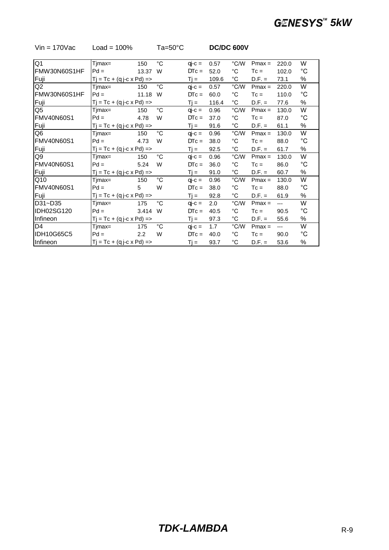| Q <sub>1</sub>    | Tjmax=                              | 150                              | $^{\circ}C$       | $qi-c =$ | 0.57  | °C/W              | $Pmax =$ | 220.0 | W            |
|-------------------|-------------------------------------|----------------------------------|-------------------|----------|-------|-------------------|----------|-------|--------------|
| FMW30N60S1HF      | $Pd =$                              | 13.37                            | W                 | $DTC =$  | 52.0  | $^{\circ}C$       | $T_c =$  | 102.0 | $^{\circ}C$  |
| Fuji              | $Tj = Tc + (q j-c \times Pd) = >$   |                                  |                   | $Tj =$   | 109.6 | $^{\circ}C$       | $D.F. =$ | 73.1  | %            |
| Q2                | Tjmax=                              | 150                              | $^{\circ}$ C      | $qi-c =$ | 0.57  | °C/W              | $Pmax =$ | 220.0 | W            |
| FMW30N60S1HF      | $Pd =$                              | 11.18                            | W                 | $DTC =$  | 60.0  | $^{\circ}C$       | $T_c =$  | 110.0 | $^{\circ}$ C |
| Fuji              |                                     | $Tj = Tc + (q j-c \times Pd)$ => |                   |          |       | $^{\circ}{\rm C}$ | $D.F. =$ | 77.6  | %            |
| Q5                | Tjmax=                              | 150                              | $^{\circ}C$       | $qj-c =$ | 0.96  | °C/W              | $Pmax =$ | 130.0 | W            |
| <b>FMV40N60S1</b> | $Pd =$                              | 4.78                             | W                 | $DTC =$  | 37.0  | $^{\circ}{\rm C}$ | $T_c =$  | 87.0  | $^{\circ}$ C |
| Fuji              | $Tj = Tc + (q j - c \times Pd) = >$ |                                  |                   | $Tj =$   | 91.6  | $^{\circ}C$       | $D.F. =$ | 61.1  | %            |
| Q6                | Tjmax=                              | 150                              | $^{\circ}{\rm C}$ | $qi-c =$ | 0.96  | °C/W              | $Pmax =$ | 130.0 | W            |
| <b>FMV40N60S1</b> | $Pd =$                              | 4.73                             | W                 | $DTc =$  | 38.0  | $^{\circ}{\rm C}$ | $T_c =$  | 88.0  | $^{\circ}C$  |
| Fuji              | $Tj = Tc + (q j - c \times Pd) = >$ |                                  |                   | $Tj =$   | 92.5  | $^{\circ}$ C      | $D.F. =$ | 61.7  | %            |
| Q9                | Tjmax=                              | 150                              | °C                | $qi-c =$ | 0.96  | °C/W              | $Pmax =$ | 130.0 | W            |
| <b>FMV40N60S1</b> | $Pd =$                              | 5.24                             | W                 | $DTC =$  | 36.0  | $^{\circ}{\rm C}$ | $T_c =$  | 86.0  | $^{\circ}C$  |
| Fuji              | $Tj = Tc + (q j - c \times Pd) = >$ |                                  |                   | $Tj =$   | 91.0  | $^{\circ}$ C      | $D.F. =$ | 60.7  | %            |
| Q10               | Tjmax=                              | 150                              | $^{\circ}$ C      | $qj-c =$ | 0.96  | °C/W              | $Pmax =$ | 130.0 | W            |
| <b>FMV40N60S1</b> | $Pd =$                              | 5                                | W                 | $DTC =$  | 38.0  | $^{\circ}C$       | $T_c =$  | 88.0  | $^{\circ}C$  |
| Fuji              | $Tj = Tc + (q j - c \times Pd) = >$ |                                  |                   | $Tj =$   | 92.8  | $^{\circ}$ C      | $D.F. =$ | 61.9  | %            |
| D31~D35           | Tjmax=                              | 175                              | °C                | $qj-c =$ | 2.0   | °C/W              | $Pmax =$ | $---$ | W            |
| <b>IDH02SG120</b> | $Pd =$                              | 3.414                            | W                 | $DTC =$  | 40.5  | $^{\circ}C$       | $T_c =$  | 90.5  | °C           |
| Infineon          | $Tj = Tc + (q j - c \times Pd) = >$ |                                  |                   | $Tj =$   | 97.3  | $^{\circ}C$       | $D.F. =$ | 55.6  | %            |
| D <sub>4</sub>    | Tjmax=                              | 175                              | $^{\circ}C$       | $qi-c =$ | 1.7   | °C/W              | $Pmax =$ | $---$ | W            |
| <b>IDH10G65C5</b> | $Pd =$                              | 2.2                              | W                 | $DTC =$  | 40.0  | $^{\circ}C$       | $T_c =$  | 90.0  | $^{\circ}C$  |
| Infineon          | $Tj = Tc + (q j - c \times Pd) = >$ |                                  |                   | $Ti =$   | 93.7  | °C                | $D.F. =$ | 53.6  | %            |

#### Vin = 170Vac Load = 100% Ta=50°C **DC/DC 600V**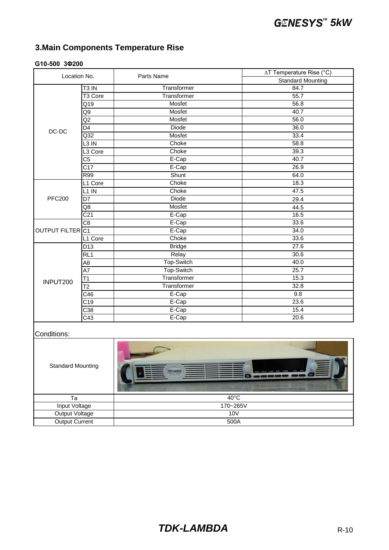### **G10-500 3Φ200**

| Location No.                 |                     | Parts Name    | ∆T Temperature Rise (°C) |
|------------------------------|---------------------|---------------|--------------------------|
|                              |                     |               | <b>Standard Mounting</b> |
|                              | T <sub>3</sub> IN   | Transformer   | 84.7                     |
|                              | T <sub>3</sub> Core | Transformer   | 55.7                     |
|                              | $\overline{Q19}$    | Mosfet        | 56.8                     |
|                              | Q9                  | Mosfet        | 40.7                     |
|                              | $\overline{Q}$      | Mosfet        | 56.0                     |
| DC-DC                        | $\overline{D4}$     | <b>Diode</b>  | 36.0                     |
|                              | $\overline{Q32}$    | Mosfet        | 33.4                     |
|                              | $L3$ IN             | Choke         | 58.8                     |
|                              | L3 Core             | Choke         | 39.3                     |
|                              | C5                  | E-Cap         | 40.7                     |
|                              | $\overline{C17}$    | E-Cap         | 26.9                     |
|                              | R99                 | Shunt         | 64.0                     |
|                              | L1 Core             | Choke         | 18.3                     |
|                              | $L1$ IN             | Choke         | 47.5                     |
| <b>PFC200</b>                | $\overline{D7}$     | Diode         | 29.4                     |
|                              | Q8                  | Mosfet        | 44.5                     |
|                              | $\overline{C21}$    | E-Cap         | 16.5                     |
|                              | C <sub>8</sub>      | $E-Cap$       | 33.6                     |
| OUTPUT FILTER <sub>IC1</sub> |                     | E-Cap         | 34.0                     |
|                              | L1 Core             | Choke         | 33.6                     |
|                              | $\overline{D13}$    | <b>Bridge</b> | 27.6                     |
|                              | RL <sub>1</sub>     | Relay         | 30.6                     |
|                              | A8                  | Top-Switch    | 40.0                     |
|                              | A7                  | Top-Switch    | 25.7                     |
| INPUT200                     | T1                  | Transformer   | 15.3                     |
|                              | $\overline{12}$     | Transformer   | 32.8                     |
|                              | C46                 | E-Cap         | 9.8                      |
|                              | $\overline{C19}$    | E-Cap         | 23.6                     |
|                              | C38                 | E-Cap         | 15.4                     |
|                              | C43                 | E-Cap         | 20.6                     |
|                              |                     |               |                          |
| Conditions:                  |                     |               |                          |
| <b>Standard Mounting</b>     |                     |               |                          |

| <b>Standard Mounting</b> | E<br><b>TDK-Lambda</b><br>FINE PREV<br>PROG SYST/B CONF PROT COMM<br>0-500 0-10V/0-5004<br>DC Power Supply |  |
|--------------------------|------------------------------------------------------------------------------------------------------------|--|
| Ta                       | $40^{\circ}$ C                                                                                             |  |
| Input Voltage            | 170~265V                                                                                                   |  |
| Output Voltage           | 10V                                                                                                        |  |
| <b>Output Current</b>    | 500A                                                                                                       |  |

### **TDK-LAMBDA** R-10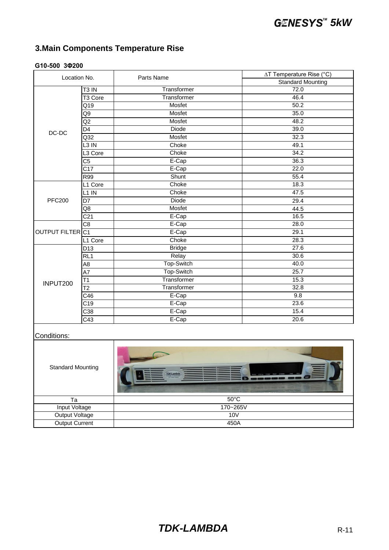### **G10-500 3Φ200**

| Location No.                 |                     | Parts Name      | ∆T Temperature Rise (°C) |
|------------------------------|---------------------|-----------------|--------------------------|
|                              |                     |                 | <b>Standard Mounting</b> |
|                              | T <sub>3</sub> IN   | Transformer     | 72.0                     |
|                              | T <sub>3</sub> Core | Transformer     | 46.4                     |
|                              | Q19                 | Mosfet          | 50.2                     |
|                              | Q9                  | Mosfet          | 35.0                     |
|                              | $\overline{Q}2$     | Mosfet          | 48.2                     |
| DC-DC                        | $\overline{D4}$     | <b>Diode</b>    | 39.0                     |
|                              | $\overline{Q32}$    | Mosfet          | 32.3                     |
|                              | $L3$ IN             | Choke           | 49.1                     |
|                              | L3 Core             | Choke           | 34.2                     |
|                              | C <sub>5</sub>      | $E-Cap$         | 36.3                     |
|                              | $\overline{C17}$    | E-Cap           | 22.0                     |
|                              | R99                 | Shunt           | 55.4                     |
|                              | L1 Core             | Choke           | 18.3                     |
|                              | $L1$ IN             | Choke           | 47.5                     |
| <b>PFC200</b>                | D7                  | <b>Diode</b>    | 29.4                     |
|                              | $\overline{Q8}$     | Mosfet          | 44.5                     |
|                              | C <sub>21</sub>     | E-Cap           | 16.5                     |
|                              | C <sub>8</sub>      | E-Cap           | 28.0                     |
| OUTPUT FILTER <sub>IC1</sub> |                     | E-Cap           | 29.1                     |
|                              | L1 Core             | Choke           | 28.3                     |
|                              | D <sub>13</sub>     | <b>Bridge</b>   | 27.6                     |
|                              | RL <sub>1</sub>     | Relay           | 30.6                     |
|                              | A8                  | Top-Switch      | 40.0                     |
|                              | $\overline{A7}$     | Top-Switch      | 25.7                     |
| INPUT200                     | T1                  | Transformer     | 15.3                     |
|                              | $\overline{12}$     | Transformer     | 32.8                     |
|                              | C46                 | $E-Cap$         | 9.8                      |
|                              | $\overline{C19}$    | E-Cap           | 23.6                     |
|                              | C38                 | E-Cap           | 15.4                     |
|                              | $\overline{C43}$    | E-Cap           | 20.6                     |
|                              |                     |                 |                          |
| Conditions:                  |                     |                 |                          |
|                              |                     |                 |                          |
|                              |                     |                 |                          |
|                              |                     |                 |                          |
| <b>Standard Mounting</b>     |                     |                 |                          |
|                              |                     | <b>DK-Lambd</b> | ъ.                       |
|                              |                     |                 |                          |
|                              |                     |                 |                          |
| ÷.                           |                     | $E^{\text{O}}$  |                          |

| <b>Standard Mounting</b> | <b>COLLEGE AND</b><br>潭<br><b>TDK-Lambda</b><br>PROG SYST/& CONF PROT COMM FINE PREV<br>0-500 0-18V/0-500A<br>DC Power Suppl |
|--------------------------|------------------------------------------------------------------------------------------------------------------------------|
| Та                       | $50^{\circ}$ C                                                                                                               |
| Input Voltage            | 170~265V                                                                                                                     |
| <b>Output Voltage</b>    | 10V                                                                                                                          |
| Output Current           | 450A                                                                                                                         |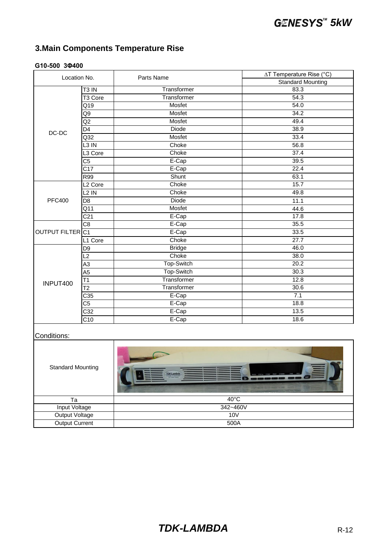### **G10-500 3Φ400**

| Location No.                                        |                     | Parts Name    | ∆T Temperature Rise (°C) |  |
|-----------------------------------------------------|---------------------|---------------|--------------------------|--|
|                                                     |                     |               | <b>Standard Mounting</b> |  |
|                                                     | T <sub>3</sub> IN   | Transformer   | 83.3                     |  |
|                                                     | T <sub>3</sub> Core | Transformer   | 54.3                     |  |
|                                                     | Q19                 | Mosfet        | 54.0                     |  |
|                                                     | Q9                  | Mosfet        | 34.2                     |  |
|                                                     | $\overline{Q}2$     | Mosfet        | 49.4                     |  |
| DC-DC                                               | D4                  | <b>Diode</b>  | 38.9                     |  |
|                                                     | Q <sub>32</sub>     | Mosfet        | 33.4                     |  |
|                                                     | $L3$ IN             | Choke         | 56.8                     |  |
|                                                     | L3 Core             | Choke         | 37.4                     |  |
|                                                     | C <sub>5</sub>      | E-Cap         | 39.5                     |  |
|                                                     | C17                 | E-Cap         | 22.4                     |  |
|                                                     | R99                 | Shunt         | 63.1                     |  |
|                                                     | L <sub>2</sub> Core | Choke         | 15.7                     |  |
|                                                     | $L2$ IN             | Choke         | 49.8                     |  |
| <b>PFC400</b>                                       | D <sub>8</sub>      | <b>Diode</b>  | 11.1                     |  |
|                                                     | Q11                 | Mosfet        | 44.6                     |  |
|                                                     | C <sub>21</sub>     | E-Cap         | 17.8                     |  |
|                                                     | C <sub>8</sub>      | E-Cap         | 35.5                     |  |
| OUTPUT FILTER C1                                    |                     | E-Cap         | 33.5                     |  |
|                                                     | L1 Core             | Choke         | 27.7                     |  |
|                                                     | D <sub>9</sub>      | <b>Bridge</b> | 46.0                     |  |
|                                                     | L2                  | Choke         | 38.0                     |  |
|                                                     | $\overline{A3}$     | Top-Switch    | 20.2                     |  |
|                                                     | A <sub>5</sub>      | Top-Switch    | 30.3                     |  |
| INPUT400                                            | T1                  | Transformer   | 12.8                     |  |
|                                                     | $\overline{12}$     | Transformer   | 30.6                     |  |
|                                                     | C35                 | E-Cap         | 7.1                      |  |
|                                                     | C5                  | E-Cap         | 18.8                     |  |
|                                                     | $\overline{C32}$    | E-Cap         | 13.5                     |  |
|                                                     | $\overline{C10}$    | E-Cap         | 18.6                     |  |
| Conditions:                                         |                     |               |                          |  |
| <b>Standard Mounting</b><br><b>TDK-Lambda</b><br>E. |                     |               |                          |  |

| <b>Standard Mounting</b> | 、富<br><b>TDK-Lambda</b><br>FINE PREV<br>PROG SYST/6 CONF PROT COMM<br>500 0-18V/0-1 |  |  |
|--------------------------|-------------------------------------------------------------------------------------|--|--|
| Та                       | $40^{\circ}$ C                                                                      |  |  |
| Input Voltage            | 342~460V                                                                            |  |  |
| <b>Output Voltage</b>    | 10 <sub>V</sub>                                                                     |  |  |
| <b>Output Current</b>    | 500A                                                                                |  |  |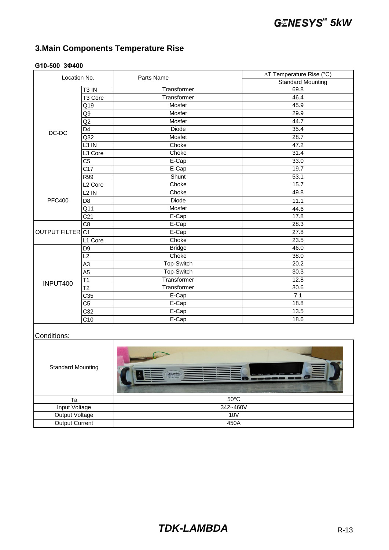### **G10-500 3Φ400**

| Location No.             |                        | Parts Name        | ∆T Temperature Rise (°C) |  |
|--------------------------|------------------------|-------------------|--------------------------|--|
|                          |                        |                   | <b>Standard Mounting</b> |  |
|                          | T <sub>3</sub> IN      | Transformer       | 69.8                     |  |
|                          | T <sub>3</sub> Core    | Transformer       | 46.4                     |  |
|                          | Q19                    | Mosfet            | 45.9                     |  |
|                          | Q9                     | Mosfet            | 29.9                     |  |
|                          | $\overline{Q}2$        | Mosfet            | 44.7                     |  |
| DC-DC                    | D4                     | <b>Diode</b>      | 35.4                     |  |
|                          | $\overline{Q32}$       | Mosfet            | 28.7                     |  |
|                          | $L3$ IN                | Choke             | 47.2                     |  |
|                          | L3 Core                | Choke             | 31.4                     |  |
|                          | C <sub>5</sub>         | E-Cap             | 33.0                     |  |
|                          | $\overline{C17}$       | E-Cap             | 19.7                     |  |
|                          | R99                    | Shunt             | 53.1                     |  |
|                          | L <sub>2</sub> Core    | Choke             | 15.7                     |  |
|                          | $L2$ IN                | Choke             | 49.8                     |  |
| <b>PFC400</b>            | D <sub>8</sub>         | <b>Diode</b>      | 11.1                     |  |
|                          | $Q\overline{11}$       | Mosfet            | 44.6                     |  |
|                          | C <sub>21</sub>        | E-Cap             | 17.8                     |  |
|                          | C <sub>8</sub>         | $E-Cap$           | 28.3                     |  |
| OUTPUT FILTER C1         |                        | E-Cap             | 27.8                     |  |
|                          | L1 Core                | Choke             | 23.5                     |  |
|                          | D <sub>9</sub>         | <b>Bridge</b>     | 46.0                     |  |
|                          | L2                     | Choke             | 38.0                     |  |
|                          | $\overline{A3}$        | Top-Switch        | 20.2                     |  |
|                          | A <sub>5</sub>         | Top-Switch        | 30.3                     |  |
| INPUT400                 | $\overline{11}$        | Transformer       | 12.8                     |  |
|                          | $\overline{12}$        | Transformer       | 30.6                     |  |
|                          | $\overline{C35}$       | E-Cap             | 7.1                      |  |
|                          | $\overline{\text{C5}}$ | E-Cap             | 18.8                     |  |
|                          | C <sub>32</sub>        | E-Cap             | 13.5                     |  |
|                          | $\overline{C10}$       | E-Cap             | 18.6                     |  |
| Conditions:              |                        |                   |                          |  |
| <b>Standard Mounting</b> |                        | <b>TDK-Lambda</b> | G)                       |  |
|                          |                        |                   |                          |  |

| <b>Standard Mounting</b> | 三<br><b>TDK-Lambda</b><br>FINE PREV<br>PROG SYST/6 CONF PROT COMM<br>500 0-18V0-50 |  |
|--------------------------|------------------------------------------------------------------------------------|--|
| Та                       | $50^{\circ}$ C                                                                     |  |
| Input Voltage            | 342~460V                                                                           |  |
| <b>Output Voltage</b>    | 10V                                                                                |  |
| Output Current           | 450A                                                                               |  |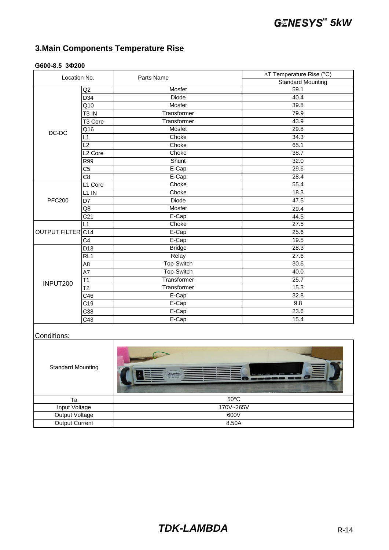#### Q2 D<sub>34</sub> Q10 T3 IN T3 Core Q16 L1 L2 L2 Core R99 C5 C8 L1 Core L1 IN D<sub>7</sub> Q8 C21 L1 OUTPUT FILTER C14  $C<sub>4</sub>$ D<sub>13</sub> RL1 A8 A7 T1 T2 C46 C19 C38 C43 E-Cap 23.6 E-Cap 15.4 25.7 Transformer 15.3 E-Cap 32.8 E-Cap 9.8 INPUT200 Bridge 28.3 Relay 27.6 Top-Switch 30.6 Top-Switch 40.0 **Transformer** 34.3 Choke 65.1 Choke 38.7 44.5 Choke 27.5 E-Cap 25.6 E-Cap 19.5 PFC200 Choke 55.4 Choke 18.3 Diode 47.5 Mosfet 29.4 E-Cap 39.8 Transformer 79.9 Transformer and the 43.9 Mosfet 29.8 Location No. Parts Name ∆T Temperature Rise (°C) Standard Mounting DC-DC Mosfet 59.1 Diode 40.4 Mosfet Shunt 32.0 E-Cap 29.6 E-Cap 28.4 **Choke**

#### **G600-8.5 3Φ200**

#### Conditions:

| <b>Standard Mounting</b> | 富<br><b>TDK-Lambda</b><br>PROG SYST/& CONF PROT COMM FINE PREV<br>500 0-18V/0-5 |  |
|--------------------------|---------------------------------------------------------------------------------|--|
| Ta                       | $50^{\circ}$ C                                                                  |  |
| Input Voltage            | 170V~265V                                                                       |  |
| <b>Output Voltage</b>    | 600V                                                                            |  |
| <b>Output Current</b>    | 8.50A                                                                           |  |

### **TDK-LAMBDA** R-14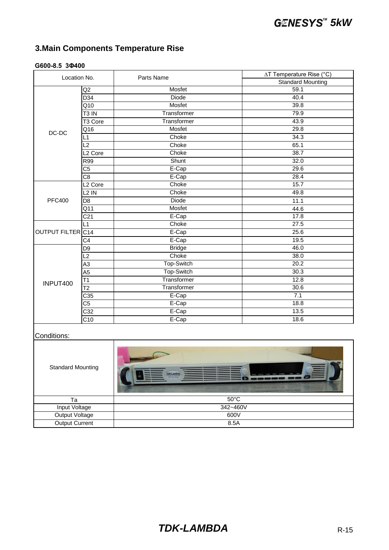#### **G600-8.5 3Φ400**

| Location No.             |                        | Parts Name        | ∆T Temperature Rise (°C) |  |
|--------------------------|------------------------|-------------------|--------------------------|--|
|                          |                        |                   | <b>Standard Mounting</b> |  |
|                          | $\overline{Q}$         | Mosfet            | 59.1                     |  |
|                          | D34                    | <b>Diode</b>      | 40.4                     |  |
|                          | Q10                    | Mosfet            | 39.8                     |  |
|                          | T <sub>3</sub> IN      | Transformer       | 79.9                     |  |
|                          | T3 Core                | Transformer       | 43.9                     |  |
| DC-DC                    | Q16                    | Mosfet            | 29.8                     |  |
|                          | L1                     | Choke             | 34.3                     |  |
|                          | $\overline{L2}$        | Choke             | 65.1                     |  |
|                          | L <sub>2</sub> Core    | Choke             | 38.7                     |  |
|                          | <b>R99</b>             | Shunt             | 32.0                     |  |
|                          | $\overline{\text{C5}}$ | E-Cap             | 29.6                     |  |
|                          | $\overline{C8}$        | E-Cap             | 28.4                     |  |
|                          | L <sub>2</sub> Core    | Choke             | 15.7                     |  |
|                          | $L2$ IN                | Choke             | 49.8                     |  |
| <b>PFC400</b>            | D <sub>8</sub>         | <b>Diode</b>      | 11.1                     |  |
|                          | $Q\overline{11}$       | Mosfet            | 44.6                     |  |
|                          | C <sub>21</sub>        | E-Cap             | 17.8                     |  |
|                          | L1                     | Choke             | 27.5                     |  |
| OUTPUT FILTER C14        |                        | E-Cap             | 25.6                     |  |
|                          | $\overline{C4}$        | E-Cap             | 19.5                     |  |
|                          | D <sub>9</sub>         | <b>Bridge</b>     | 46.0                     |  |
|                          | L2                     | Choke             | 38.0                     |  |
|                          | $\overline{A3}$        | Top-Switch        | 20.2                     |  |
|                          | A <sub>5</sub>         | Top-Switch        | 30.3                     |  |
| INPUT400                 | $\overline{11}$        | Transformer       | 12.8                     |  |
|                          | $\overline{12}$        | Transformer       | 30.6                     |  |
|                          | $\overline{C35}$       | E-Cap             | 7.1                      |  |
|                          | $\overline{\text{C5}}$ | E-Cap             | 18.8                     |  |
|                          | C <sub>32</sub>        | E-Cap             | 13.5                     |  |
|                          | $\overline{C10}$       | E-Cap             | 18.6                     |  |
| Conditions:              |                        |                   |                          |  |
| <b>Standard Mounting</b> |                        | <b>TDK-Lambda</b> | G.                       |  |
|                          |                        |                   |                          |  |

| Та                    | $50^{\circ}$ C |
|-----------------------|----------------|
| Input Voltage         | 342~460V       |
| Output Voltage        | 600V           |
| <b>Output Current</b> | 8.5A           |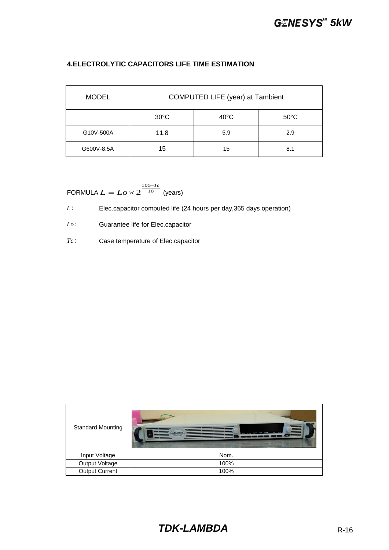#### **4.ELECTROLYTIC CAPACITORS LIFE TIME ESTIMATION**

| <b>MODEL</b> | COMPUTED LIFE (year) at Tambient |                |                |
|--------------|----------------------------------|----------------|----------------|
|              | $30^{\circ}$ C                   | $40^{\circ}$ C | $50^{\circ}$ C |
| G10V-500A    | 11.8                             | 5.9            | 2.9            |
| G600V-8.5A   | 15                               | 15             | 8.1            |

FORMULA  $L = Lo \times 2^{-10}$  (years) 105 2 *Tc*  $L = Lo \times 2^{\frac{105}{10}}$  $=$  Lo  $\times$ 

*L*: Elec.capacitor computed life (24 hours per day, 365 days operation)

*Lo* : Guarantee life for Elec.capacitor

*Tc* : Case temperature of Elec.capacitor

| <b>Standard Mounting</b> | 菖<br><b>TDK-Lambda</b><br><b>FERV</b><br>FINE<br><b>C. Elizabeth Farant</b> |
|--------------------------|-----------------------------------------------------------------------------|
| Input Voltage            | Nom.                                                                        |
| Output Voltage           | 100%                                                                        |
| <b>Output Current</b>    | 100%                                                                        |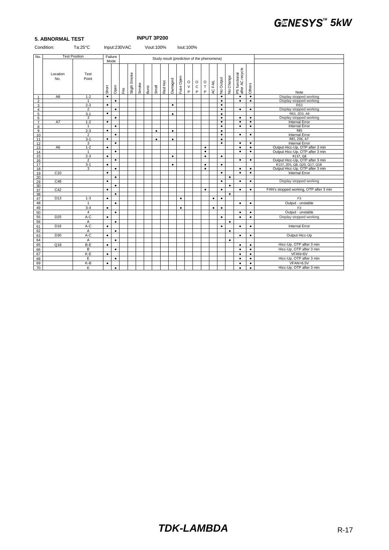|                     | <b>5. ABNORMAL TEST</b> |                      |           |              |    |              |       |           |           | <b>INPUT 3P200</b> |           |           |                        |                                            |                            |           |                        |           |                                   |                        |                                           |
|---------------------|-------------------------|----------------------|-----------|--------------|----|--------------|-------|-----------|-----------|--------------------|-----------|-----------|------------------------|--------------------------------------------|----------------------------|-----------|------------------------|-----------|-----------------------------------|------------------------|-------------------------------------------|
|                     | Condition:              | Ta:25°C              |           | Input:230VAC |    |              |       | Vout:100% |           |                    |           |           | lout:100%              |                                            |                            |           |                        |           |                                   |                        |                                           |
| No.                 |                         | <b>Test Position</b> |           | Failure      |    |              |       |           |           |                    |           |           |                        | Study result (prediction of the phenomena) |                            |           |                        |           |                                   |                        |                                           |
|                     |                         |                      |           | Mode         |    |              |       |           |           |                    |           |           |                        |                                            |                            |           |                        |           |                                   |                        |                                           |
|                     | Location<br>No.         | Test<br>Point        | Short     | Open         | ιĚ | Sligth Smoke | Smoke | Burst     | Smell     | Red Hot            | Damaged   | Fuse Open | $\circ$<br>$\vee$<br>P | $\mathsf O$<br>$\mathbf C$<br>P            | $\mathsf O$<br>$\top$<br>P | AC FAIL   | No Output              | No Change | PS functional<br>after AC recycle | Others                 | Note                                      |
| $\mathbf{1}$        | A <sub>8</sub>          | $1 - 2$              | $\bullet$ |              |    |              |       |           |           |                    |           |           |                        |                                            |                            |           | $\bullet$              |           | $\bullet$                         | $\bullet$              | Display stopped working                   |
| $\overline{2}$      |                         | $\mathbf{1}$         |           | $\bullet$    |    |              |       |           |           |                    |           |           |                        |                                            |                            |           | $\bullet$              |           | $\bullet$                         | $\bullet$              | Display stopped working                   |
| 3                   |                         | $2 - 3$              | $\bullet$ |              |    |              |       |           |           |                    | $\bullet$ |           |                        |                                            |                            |           | $\bullet$              |           |                                   |                        | R63                                       |
| $\overline{4}$      |                         | $\overline{2}$       |           | $\bullet$    |    |              |       |           |           |                    |           |           |                        |                                            |                            |           | $\bullet$              |           | $\bullet$                         | $\bullet$              | Display stopped working                   |
| $\overline{5}$      |                         | $3 - 1$              | $\bullet$ |              |    |              |       |           |           |                    | $\bullet$ |           |                        |                                            |                            |           | $\bullet$              |           |                                   |                        | R63, ZD3, A8                              |
| 6<br>$\overline{7}$ | A7                      | 3<br>$1 - 2$         | $\bullet$ | $\bullet$    |    |              |       |           |           |                    |           |           |                        |                                            |                            |           | $\bullet$<br>$\bullet$ |           | $\bullet$<br>$\bullet$            | $\bullet$<br>$\bullet$ | Display stopped working<br>Internal Error |
| 8                   |                         | $\mathbf{1}$         |           | $\bullet$    |    |              |       |           |           |                    |           |           |                        |                                            |                            |           | $\bullet$              |           | $\bullet$                         | $\bullet$              | <b>Internal Error</b>                     |
| 9                   |                         | $2 - 3$              | $\bullet$ |              |    |              |       |           | $\bullet$ |                    | $\bullet$ |           |                        |                                            |                            |           | $\bullet$              |           |                                   |                        | <b>R85</b>                                |
| 10                  |                         | 2                    |           | $\bullet$    |    |              |       |           |           |                    |           |           |                        |                                            |                            |           | $\bullet$              |           | $\bullet$                         | $\bullet$              | <b>Internal Error</b>                     |
| 11                  |                         | $3 - 1$              | $\bullet$ |              |    |              |       |           | $\bullet$ |                    | $\bullet$ |           |                        |                                            |                            |           | $\bullet$              |           |                                   |                        | R85, ZD6, A7                              |
| 12                  |                         | 3                    |           | $\bullet$    |    |              |       |           |           |                    |           |           |                        |                                            |                            |           | $\bullet$              |           | $\bullet$                         | $\bullet$              | <b>Internal Error</b>                     |
| 13                  | A <sub>6</sub>          | $1 - 2$              | $\bullet$ |              |    |              |       |           |           |                    |           |           |                        |                                            | $\bullet$                  |           |                        |           | $\bullet$                         | $\bullet$              | Output Hicc-Up, OTP after 3 min           |
| 14                  |                         | $\mathbf{1}$         |           | $\bullet$    |    |              |       |           |           |                    |           |           |                        |                                            | $\bullet$                  |           |                        |           | $\bullet$                         | $\bullet$              | Output Hicc-Up, OTP after 3 min           |
| 15                  |                         | $2 - 3$              | $\bullet$ |              |    |              |       |           |           |                    | $\bullet$ |           |                        |                                            | $\bullet$                  |           | $\bullet$              |           |                                   |                        | R137, Q8                                  |
| 16                  |                         | $\overline{2}$       |           | $\bullet$    |    |              |       |           |           |                    |           |           |                        |                                            |                            |           |                        |           | ٠                                 | $\bullet$              | Output Hicc-Up, OTP after 3 min           |
| 17                  |                         | $3 - 1$              | $\bullet$ |              |    |              |       |           |           |                    | $\bullet$ |           |                        |                                            | $\bullet$                  |           | $\bullet$              |           |                                   |                        | R137, ZD5, Q8, Q20, Q17, Q18              |
| 18                  |                         | 3                    |           | $\bullet$    |    |              |       |           |           |                    |           |           |                        |                                            | $\bullet$                  |           |                        |           | $\bullet$                         | $\bullet$              | Output Hicc-Up, OTP after 3 min           |
| 19                  | C10                     |                      | $\bullet$ | $\bullet$    |    |              |       |           |           |                    |           |           |                        |                                            |                            |           | $\bullet$              | $\bullet$ | $\bullet$                         | $\bullet$              | <b>Internal Error</b>                     |
| 20<br>29            | C48                     |                      | $\bullet$ |              |    |              |       |           |           |                    |           |           |                        |                                            |                            |           | $\bullet$              |           | $\bullet$                         | $\bullet$              | Display stopped working                   |
| 30                  |                         |                      |           | $\bullet$    |    |              |       |           |           |                    |           |           |                        |                                            |                            |           |                        | ٠         |                                   |                        |                                           |
| 37                  | C42                     |                      | $\bullet$ |              |    |              |       |           |           |                    |           |           |                        |                                            | $\bullet$                  |           | $\bullet$              |           | $\bullet$                         | $\bullet$              | FAN's stopped working, OTP after 3 min    |
| 38                  |                         |                      |           | $\bullet$    |    |              |       |           |           |                    |           |           |                        |                                            |                            |           |                        | $\bullet$ |                                   |                        |                                           |
| 47                  | D <sub>13</sub>         | $1 - 3$              | $\bullet$ |              |    |              |       |           |           |                    |           | $\bullet$ |                        |                                            |                            | $\bullet$ | $\bullet$              |           |                                   |                        | F <sub>3</sub>                            |
| 48                  |                         | $\mathbf{1}$         |           | $\bullet$    |    |              |       |           |           |                    |           |           |                        |                                            |                            |           |                        |           | $\bullet$                         | $\bullet$              | Output - unstable                         |
| 49                  |                         | $3 - 4$              | $\bullet$ |              |    |              |       |           |           |                    |           | $\bullet$ |                        |                                            |                            | $\bullet$ | $\bullet$              |           |                                   |                        | F <sub>3</sub>                            |
| 50                  |                         | $\overline{4}$       |           | $\bullet$    |    |              |       |           |           |                    |           |           |                        |                                            |                            |           |                        |           | $\bullet$                         | $\bullet$              | Output - unstable                         |
| 55                  | D <sub>25</sub>         | $A-C$                | $\bullet$ |              |    |              |       |           |           |                    |           |           |                        |                                            |                            |           | $\bullet$              |           | $\bullet$                         | $\bullet$              | Display stopped working                   |
| 56                  |                         | Α                    |           | $\bullet$    |    |              |       |           |           |                    |           |           |                        |                                            |                            |           |                        | $\bullet$ |                                   |                        |                                           |
| 61                  | D <sub>16</sub>         | A-C                  | $\bullet$ |              |    |              |       |           |           |                    |           |           |                        |                                            |                            |           | $\bullet$              |           | $\bullet$                         | $\bullet$              | Internal Error                            |
| 62                  |                         | Α                    |           | $\bullet$    |    |              |       |           |           |                    |           |           |                        |                                            |                            |           |                        | $\bullet$ |                                   |                        |                                           |
| 63                  | D <sub>30</sub>         | $A-C$                | $\bullet$ |              |    |              |       |           |           |                    |           |           |                        |                                            |                            |           |                        |           | $\bullet$                         | $\bullet$              | Output Hicc-Up                            |
| 64                  |                         | Α                    |           | $\bullet$    |    |              |       |           |           |                    |           |           |                        |                                            |                            |           |                        | $\bullet$ |                                   |                        |                                           |
| 65                  | Q18                     | B-E                  | $\bullet$ |              |    |              |       |           |           |                    |           |           |                        |                                            |                            |           |                        |           | ٠                                 | $\bullet$              | Hicc-Up, OTP after 3 min                  |
| 66                  |                         | В                    |           | $\bullet$    |    |              |       |           |           |                    |           |           |                        |                                            |                            |           |                        |           | $\bullet$                         | $\bullet$              | Hicc-Up, OTP after 3 min                  |
| 67                  |                         | K-E                  | $\bullet$ |              |    |              |       |           |           |                    |           |           |                        |                                            |                            |           |                        |           | $\bullet$                         | $\bullet$              | VFAN=6V                                   |
| 68                  |                         | Ε                    |           | $\bullet$    |    |              |       |           |           |                    |           |           |                        |                                            |                            |           |                        |           | $\bullet$                         | $\bullet$              | Hicc-Up, OTP after 3 min                  |
| 69                  |                         | K-B                  | $\bullet$ |              |    |              |       |           |           |                    |           |           |                        |                                            |                            |           |                        |           | $\bullet$                         | $\bullet$              | VFAN=6.5V                                 |
| 70                  |                         | K                    |           | $\bullet$    |    |              |       |           |           |                    |           |           |                        |                                            |                            |           |                        |           | $\bullet$                         | $\bullet$              | Hicc-Up, OTP after 3 min                  |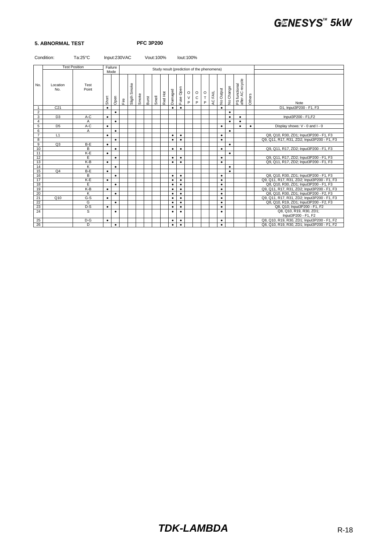### **5. ABNORMAL TEST PFC 3P200**

| Condition:<br>$Ta:25^{\circ}C$<br>Input:230VAC |                 |                      |           |           |    |                              |       |       | Vout: 100% |         |           |           | lout:100%              |                                            |                    |         |           |           |                                   |           |                                                |
|------------------------------------------------|-----------------|----------------------|-----------|-----------|----|------------------------------|-------|-------|------------|---------|-----------|-----------|------------------------|--------------------------------------------|--------------------|---------|-----------|-----------|-----------------------------------|-----------|------------------------------------------------|
|                                                |                 | <b>Test Position</b> |           | Failure   |    |                              |       |       |            |         |           |           |                        | Study result (prediction of the phenomena) |                    |         |           |           |                                   |           |                                                |
|                                                |                 |                      |           | Mode      |    |                              |       |       |            |         |           |           |                        |                                            |                    |         |           |           |                                   |           |                                                |
| No.                                            | Location<br>No. | Test<br>Point        | Short     | Open      | ιĚ | Smoke<br>Sligth <sup>S</sup> | Smoke | Burst | Smell      | Red Hot | Damaged   | Fuse Open | $\circ$<br>$\vee$<br>P | $\circ$<br>$\mathbf C$<br>P                | $\frac{0}{T}$<br>P | AC FAIL | No Output | No Change | PS functional<br>after AC recycle | Others    | Note                                           |
| $\overline{1}$                                 | C <sub>21</sub> |                      | $\bullet$ |           |    |                              |       |       |            |         | $\bullet$ | $\bullet$ |                        |                                            |                    |         | $\bullet$ |           |                                   |           | D1, Input3P200 - F1, F3                        |
| $\overline{2}$                                 |                 |                      |           | ٠         |    |                              |       |       |            |         |           |           |                        |                                            |                    |         |           | $\bullet$ |                                   |           |                                                |
| $\overline{3}$                                 | D <sub>3</sub>  | A-C                  | $\bullet$ |           |    |                              |       |       |            |         |           |           |                        |                                            |                    |         |           | ٠         | ٠                                 |           | Input3P200 - F1,F2                             |
| $\overline{4}$                                 |                 | A                    |           | $\bullet$ |    |                              |       |       |            |         |           |           |                        |                                            |                    |         |           | $\bullet$ | ٠                                 |           |                                                |
| 5                                              | D <sub>5</sub>  | A-C                  | $\bullet$ |           |    |                              |       |       |            |         |           |           |                        |                                            |                    |         | $\bullet$ |           | ٠                                 | $\bullet$ | Display shows: V - 0 and I - 0                 |
| 6                                              |                 | A                    |           | ٠         |    |                              |       |       |            |         |           |           |                        |                                            |                    |         |           | $\bullet$ |                                   |           |                                                |
| $\overline{7}$                                 | L1              |                      | $\bullet$ |           |    |                              |       |       |            |         | $\bullet$ | $\bullet$ |                        |                                            |                    |         | $\bullet$ |           |                                   |           | Q8, Q10, R30, ZD1; Input3P200 - F1, F3         |
| 8                                              |                 |                      |           | $\bullet$ |    |                              |       |       |            |         | $\bullet$ | $\bullet$ |                        |                                            |                    |         | $\bullet$ |           |                                   |           | Q9, Q11, R17, R31, ZD2; Input3P200 - F1, F3    |
| 9                                              | Q3              | $B - E$              | $\bullet$ |           |    |                              |       |       |            |         |           |           |                        |                                            |                    |         |           | $\bullet$ |                                   |           |                                                |
| 10                                             |                 | B                    |           | $\bullet$ |    |                              |       |       |            |         | $\bullet$ | $\bullet$ |                        |                                            |                    |         | $\bullet$ |           |                                   |           | Q9, Q11, R17, ZD2; Input3P200 - F1, F3         |
| 11                                             |                 | K-E                  | $\bullet$ |           |    |                              |       |       |            |         |           |           |                        |                                            |                    |         |           | $\bullet$ |                                   |           |                                                |
| 12                                             |                 | Ε                    |           | $\bullet$ |    |                              |       |       |            |         | $\bullet$ | $\bullet$ |                        |                                            |                    |         | $\bullet$ |           |                                   |           | Q9, Q11, R17, ZD2; Input3P200 - F1, F3         |
| 13                                             |                 | K-B                  | $\bullet$ |           |    |                              |       |       |            |         | $\bullet$ | $\bullet$ |                        |                                            |                    |         | $\bullet$ |           |                                   |           | Q9, Q11, R17, ZD2; Input3P200 - F1, F3         |
| 14                                             |                 | K                    |           | $\bullet$ |    |                              |       |       |            |         |           |           |                        |                                            |                    |         |           | $\bullet$ |                                   |           |                                                |
| 15                                             | Q <sub>4</sub>  | B-E                  | $\bullet$ |           |    |                              |       |       |            |         |           |           |                        |                                            |                    |         |           | $\bullet$ |                                   |           |                                                |
| 16                                             |                 | В                    |           | $\bullet$ |    |                              |       |       |            |         | $\bullet$ | $\bullet$ |                        |                                            |                    |         | $\bullet$ |           |                                   |           | Q8, Q10, R30, ZD1; Input3P200 - F1, F3         |
| 17                                             |                 | K-E                  | $\bullet$ |           |    |                              |       |       |            |         | $\bullet$ | $\bullet$ |                        |                                            |                    |         | $\bullet$ |           |                                   |           | Q9, Q11, R17, R31, ZD2; Input3P200 - F1, F3    |
| 18                                             |                 | E                    |           | $\bullet$ |    |                              |       |       |            |         | ٠         | $\bullet$ |                        |                                            |                    |         | ٠         |           |                                   |           | Q8, Q10, R30, ZD1; Input3P200 - F1, F3         |
| 19                                             |                 | K-B                  | $\bullet$ |           |    |                              |       |       |            |         | ٠         | $\bullet$ |                        |                                            |                    |         | ٠         |           |                                   |           | Q9, Q11, R17, R31, ZD2; Input3P200 - F1, F3    |
| 20                                             |                 | K                    |           | $\bullet$ |    |                              |       |       |            |         | ٠         | $\bullet$ |                        |                                            |                    |         | ٠         |           |                                   |           | Q8, Q10, R30, ZD1; Input3P200 - F2, F3         |
| 21                                             | Q10             | $G-S$                | $\bullet$ |           |    |                              |       |       |            |         | ٠         | $\bullet$ |                        |                                            |                    |         | $\bullet$ |           |                                   |           | Q9, Q11, R17, R31, ZD2; Input3P200 - F1, F3    |
| 22                                             |                 | G                    |           | $\bullet$ |    |                              |       |       |            |         | $\bullet$ | $\bullet$ |                        |                                            |                    |         | $\bullet$ |           |                                   |           | Q8, Q10, R19, ZD1; Input3P200 - F2, F3         |
| 23                                             |                 | $D-S$                | $\bullet$ |           |    |                              |       |       |            |         | $\bullet$ | $\bullet$ |                        |                                            |                    |         | $\bullet$ |           |                                   |           | Q8, Q10; Input3P200 - F1, F2                   |
| 24                                             |                 | s                    |           | ٠         |    |                              |       |       |            |         | ٠         | $\bullet$ |                        |                                            |                    |         | $\bullet$ |           |                                   |           | Q8, Q10, R19, R30, ZD1;<br>Input3P200 - F1, F2 |
| 25                                             |                 | $D-G$                | ٠         |           |    |                              |       |       |            |         | $\bullet$ | $\bullet$ |                        |                                            |                    |         | $\bullet$ |           |                                   |           | Q8, Q10, R19, R30, ZD1; Input3P200 - F1, F2    |
| 26                                             |                 | D                    |           | $\bullet$ |    |                              |       |       |            |         | $\bullet$ | $\bullet$ |                        |                                            |                    |         | $\bullet$ |           |                                   |           | Q8, Q10, R19, R30, ZD1; Input3P200 - F1, F2    |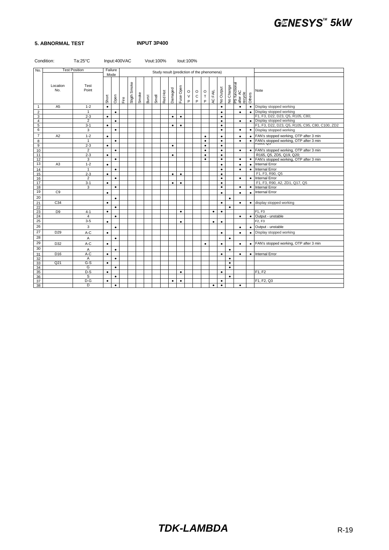#### **5. ABNORMAL TEST INPUT 3P400**

|                | Condition:      | $Ta:25^{\circ}C$     |           | Input:400VAC |      |              |       | Vout:100% |       |                                            |           |           | lout:100%                                  |                          |                                                                         |           |           |           |                                      |           |                                                      |
|----------------|-----------------|----------------------|-----------|--------------|------|--------------|-------|-----------|-------|--------------------------------------------|-----------|-----------|--------------------------------------------|--------------------------|-------------------------------------------------------------------------|-----------|-----------|-----------|--------------------------------------|-----------|------------------------------------------------------|
| No.            |                 | <b>Test Position</b> |           | Failure      |      |              |       |           |       | Study result (prediction of the phenomena) |           |           |                                            |                          |                                                                         |           |           |           |                                      |           |                                                      |
|                |                 |                      |           | Mode         |      |              |       |           |       |                                            |           |           |                                            |                          |                                                                         |           |           |           |                                      |           |                                                      |
|                | Location<br>No. | Test<br>Point        | Short     | Open         | Eire | Sligth Smoke | Smoke | Burst     | Smell | Red Hot                                    | Damaged   | Fuse Open | $\mathsf O$<br>$\mathsf V$<br>$\mathsf{P}$ | $\circ$<br>$\frac{C}{P}$ | $\begin{array}{c} \mathsf{O} \\ \mathsf{T} \end{array}$<br>$\mathsf{P}$ | AC FAIL   | No Output | No Change | PS functional<br>after AC<br>recycle | Others    | Note                                                 |
| $\mathbf{1}$   | A <sub>5</sub>  | $1 - 2$              | $\bullet$ |              |      |              |       |           |       |                                            |           |           |                                            |                          |                                                                         |           | $\bullet$ |           | $\bullet$                            |           | • Display stopped working                            |
| $\overline{2}$ |                 | $\mathbf{1}$         |           | $\bullet$    |      |              |       |           |       |                                            |           |           |                                            |                          |                                                                         |           | $\bullet$ |           | ٠                                    | $\bullet$ | Display stopped working                              |
| 3              |                 | $2 - 3$              | $\bullet$ |              |      |              |       |           |       |                                            | $\bullet$ | $\bullet$ |                                            |                          |                                                                         |           | $\bullet$ |           |                                      |           | F1, F3, D22, D23, Q5, R105, C80;                     |
| $\overline{4}$ |                 | $\overline{2}$       |           | $\bullet$    |      |              |       |           |       |                                            |           |           |                                            |                          |                                                                         |           | $\bullet$ |           | $\bullet$                            |           | • Display stopped working                            |
| 5              |                 | $3 - 1$              | $\bullet$ |              |      |              |       |           |       |                                            | $\bullet$ | $\bullet$ |                                            |                          |                                                                         |           | $\bullet$ |           |                                      |           | F1, F3, D22, D23, Q5, R105, C95, C80, C100, ZD2      |
| 6              |                 | 3                    |           | $\bullet$    |      |              |       |           |       |                                            |           |           |                                            |                          |                                                                         |           | $\bullet$ |           | $\bullet$                            |           | • Display stopped working                            |
| $\overline{7}$ | A <sub>2</sub>  | $1 - 2$              | $\bullet$ |              |      |              |       |           |       |                                            |           |           |                                            |                          | $\bullet$                                                               |           | $\bullet$ |           | ٠                                    |           | • FAN's stopped working, OTP after 3 min             |
| 8              |                 | $\mathbf{1}$         |           | $\bullet$    |      |              |       |           |       |                                            |           |           |                                            |                          | $\bullet$                                                               |           | $\bullet$ |           | $\bullet$                            |           | • FAN's stopped working, OTP after 3 min<br>NT00, Q0 |
| 9              |                 | $2 - 3$              | $\bullet$ |              |      |              |       |           |       |                                            | $\bullet$ |           |                                            |                          | $\bullet$                                                               |           | $\bullet$ |           |                                      |           |                                                      |
| 10             |                 | $\overline{2}$       |           | $\bullet$    |      |              |       |           |       |                                            |           |           |                                            |                          | $\bullet$                                                               |           | $\bullet$ |           | $\bullet$                            |           | • FAN's stopped working, OTP after 3 min             |
| 11             |                 | $2 - 3$              | $\bullet$ |              |      |              |       |           |       |                                            | $\bullet$ |           |                                            |                          | $\bullet$                                                               |           | $\bullet$ |           |                                      |           | R165, Q5, ZD5, Q19, Q20;                             |
| 12             |                 | 3                    |           | $\bullet$    |      |              |       |           |       |                                            |           |           |                                            |                          | $\bullet$                                                               |           | $\bullet$ |           | $\bullet$                            |           | • FAN's stopped working, OTP after 3 min             |
| 13             | A <sub>3</sub>  | $1 - 2$              | $\bullet$ |              |      |              |       |           |       |                                            |           |           |                                            |                          |                                                                         |           | $\bullet$ |           | $\bullet$                            | $\bullet$ | <b>Internal Error</b>                                |
| 14             |                 | $\mathbf{1}$         |           | $\bullet$    |      |              |       |           |       |                                            |           |           |                                            |                          |                                                                         |           | $\bullet$ |           | $\bullet$                            | $\bullet$ | <b>Internal Error</b>                                |
| 15             |                 | $2 - 3$              | $\bullet$ |              |      |              |       |           |       |                                            | $\bullet$ | $\bullet$ |                                            |                          |                                                                         |           | $\bullet$ |           |                                      |           | F1, F3, R90, Q5                                      |
| 16             |                 | $\overline{2}$       |           | $\bullet$    |      |              |       |           |       |                                            |           |           |                                            |                          |                                                                         |           | $\bullet$ |           | $\bullet$                            |           | • Internal Error                                     |
| 17             |                 | $3-1$                | $\bullet$ |              |      |              |       |           |       |                                            | $\bullet$ | $\bullet$ |                                            |                          |                                                                         |           | ٠         |           |                                      |           | F1, F3, R90, A2, ZD1, Q17, Q5                        |
| 18             |                 | 3                    |           | $\bullet$    |      |              |       |           |       |                                            |           |           |                                            |                          |                                                                         |           | $\bullet$ |           | $\bullet$                            | $\bullet$ | Internal Error                                       |
| 19             | C <sub>9</sub>  |                      | $\bullet$ |              |      |              |       |           |       |                                            |           |           |                                            |                          |                                                                         |           | $\bullet$ |           | ٠                                    | $\bullet$ | Internal Error                                       |
| 20             |                 |                      |           | $\bullet$    |      |              |       |           |       |                                            |           |           |                                            |                          |                                                                         |           |           | $\bullet$ |                                      |           |                                                      |
| 21             | C <sub>34</sub> |                      | $\bullet$ |              |      |              |       |           |       |                                            |           |           |                                            |                          |                                                                         |           | $\bullet$ |           | $\bullet$                            | $\bullet$ | display stopped working                              |
| 22             |                 |                      |           | $\bullet$    |      |              |       |           |       |                                            |           |           |                                            |                          |                                                                         |           |           | $\bullet$ |                                      |           |                                                      |
| 23             | D <sub>9</sub>  | $4 - 1$              | $\bullet$ |              |      |              |       |           |       |                                            |           | $\bullet$ |                                            |                          |                                                                         | $\bullet$ | $\bullet$ |           |                                      |           | F1, F3                                               |
| 24             |                 | $\overline{4}$       |           | $\bullet$    |      |              |       |           |       |                                            |           |           |                                            |                          |                                                                         |           |           |           | $\bullet$                            | $\bullet$ | Output - unstable                                    |
| 25             |                 | $3 - 5$              | $\bullet$ |              |      |              |       |           |       |                                            |           | $\bullet$ |                                            |                          |                                                                         | $\bullet$ | $\bullet$ |           |                                      |           | F2, F3                                               |
| 26             |                 | 3                    |           | $\bullet$    |      |              |       |           |       |                                            |           |           |                                            |                          |                                                                         |           |           |           | $\bullet$                            | $\bullet$ | Output - unstable                                    |
| 27             | D <sub>29</sub> | A-C                  | $\bullet$ |              |      |              |       |           |       |                                            |           |           |                                            |                          |                                                                         |           | $\bullet$ |           | $\bullet$                            | $\bullet$ | Display stopped working                              |
| 28             |                 | Α                    |           | $\bullet$    |      |              |       |           |       |                                            |           |           |                                            |                          |                                                                         |           |           | $\bullet$ |                                      |           |                                                      |
| 29             | D32             | A-C                  | $\bullet$ |              |      |              |       |           |       |                                            |           |           |                                            |                          | $\bullet$                                                               |           | $\bullet$ |           | $\bullet$                            | $\bullet$ | FAN's stopped working, OTP after 3 min               |
| 30             |                 | Α                    |           | $\bullet$    |      |              |       |           |       |                                            |           |           |                                            |                          |                                                                         |           |           | $\bullet$ |                                      |           |                                                      |
| 31             | D <sub>16</sub> | A-C                  | $\bullet$ |              |      |              |       |           |       |                                            |           |           |                                            |                          |                                                                         |           | $\bullet$ |           | ٠                                    |           | • Internal Error                                     |
| 32             |                 | Α                    |           | $\bullet$    |      |              |       |           |       |                                            |           |           |                                            |                          |                                                                         |           |           | $\bullet$ |                                      |           |                                                      |
| 33             | Q21             | $G-S$                | $\bullet$ |              |      |              |       |           |       |                                            |           |           |                                            |                          |                                                                         |           |           | $\bullet$ |                                      |           |                                                      |
| 34             |                 | G                    |           | $\bullet$    |      |              |       |           |       |                                            |           |           |                                            |                          |                                                                         |           |           | $\bullet$ |                                      |           |                                                      |
| 35             |                 | D-S                  | $\bullet$ |              |      |              |       |           |       |                                            |           | $\bullet$ |                                            |                          |                                                                         |           | $\bullet$ |           |                                      |           | F1.F2                                                |
| 36             |                 | s                    |           | $\bullet$    |      |              |       |           |       |                                            |           |           |                                            |                          |                                                                         |           |           | $\bullet$ |                                      |           |                                                      |
| 37             |                 | $D-G$                | $\bullet$ |              |      |              |       |           |       |                                            | $\bullet$ | $\bullet$ |                                            |                          |                                                                         |           | $\bullet$ |           |                                      |           | F1, F2, Q3                                           |
| 38             |                 | D                    |           | $\bullet$    |      |              |       |           |       |                                            |           |           |                                            |                          |                                                                         | $\bullet$ | $\bullet$ |           | $\bullet$                            |           |                                                      |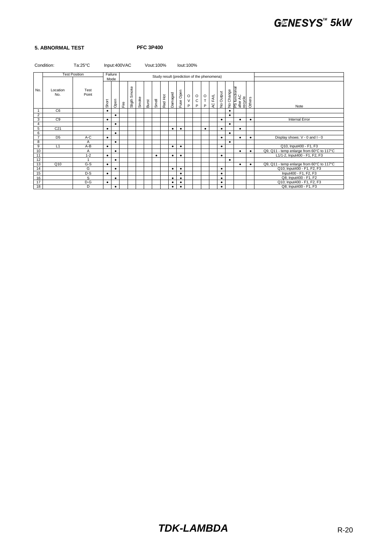#### **5. ABNORMAL TEST PFC 3P400**

|                 | Condition:      | $Ta:25^{\circ}C$     |           | Input:400VAC |    |                 |       | Vout: 100% |           |         |           |           | lout:100%       |                                            |                    |         |           |           |                                                   |           |                                           |
|-----------------|-----------------|----------------------|-----------|--------------|----|-----------------|-------|------------|-----------|---------|-----------|-----------|-----------------|--------------------------------------------|--------------------|---------|-----------|-----------|---------------------------------------------------|-----------|-------------------------------------------|
|                 |                 | <b>Test Position</b> |           | Failure      |    |                 |       |            |           |         |           |           |                 | Study result (prediction of the phenomena) |                    |         |           |           |                                                   |           |                                           |
|                 |                 |                      |           | Mode         |    |                 |       |            |           |         |           |           |                 |                                            |                    |         |           |           |                                                   |           |                                           |
| No.             | Location<br>No. | Test<br>Point        | Short     | Open         | ιÊ | Smoke<br>Sligth | Smoke | Burst      | Smell     | Red Hot | Damaged   | Fuse Open | $\rm _V^O$<br>P | $_{\rm c}^{\rm o}$<br>P                    | $\frac{0}{T}$<br>P | AC FAIL | No Output |           | No Change<br>PS functional<br>after AC<br>recycle | Others    | Note                                      |
|                 | C6              |                      | $\bullet$ |              |    |                 |       |            |           |         |           |           |                 |                                            |                    |         |           | $\bullet$ |                                                   |           |                                           |
| $\overline{2}$  |                 |                      |           |              |    |                 |       |            |           |         |           |           |                 |                                            |                    |         |           | ٠         |                                                   |           |                                           |
| 3               | C <sub>9</sub>  |                      |           |              |    |                 |       |            |           |         |           |           |                 |                                            |                    |         | ٠         |           |                                                   | ٠         | Internal Error                            |
| $\overline{4}$  |                 |                      |           | ٠            |    |                 |       |            |           |         |           |           |                 |                                            |                    |         |           | $\bullet$ |                                                   |           |                                           |
| $5\overline{)}$ | C <sub>21</sub> |                      | $\bullet$ |              |    |                 |       |            |           |         | ٠         | $\bullet$ |                 |                                            | $\bullet$          |         | $\bullet$ |           | $\bullet$                                         |           |                                           |
| 6               |                 |                      |           | $\bullet$    |    |                 |       |            |           |         |           |           |                 |                                            |                    |         |           | $\bullet$ |                                                   |           |                                           |
| $\overline{7}$  | D <sub>5</sub>  | A-C                  | $\bullet$ |              |    |                 |       |            |           |         |           |           |                 |                                            |                    |         | ٠         |           | $\bullet$                                         | $\bullet$ | Display shows: V - 0 and I - 0            |
| 8               |                 | A                    |           |              |    |                 |       |            |           |         |           |           |                 |                                            |                    |         |           | ٠         |                                                   |           |                                           |
| $\overline{9}$  | L1              | A-B                  | $\bullet$ |              |    |                 |       |            |           |         | $\bullet$ | $\bullet$ |                 |                                            |                    |         | ٠         |           |                                                   |           | Q10, Input400 - F1, F3                    |
| 10              |                 | Α                    |           |              |    |                 |       |            |           |         |           |           |                 |                                            |                    |         |           |           | $\bullet$                                         | $\bullet$ | Q9, Q11 - temp enlarge from 60°C to 117°C |
| 11              |                 | $1 - 2$              | $\bullet$ |              |    |                 |       |            | $\bullet$ |         | $\bullet$ | $\bullet$ |                 |                                            |                    |         | ٠         |           |                                                   |           | L1/1-2, Input400 - F1, F2, F3             |
| 12              |                 |                      |           |              |    |                 |       |            |           |         |           |           |                 |                                            |                    |         |           | ٠         |                                                   |           |                                           |
| 13              | Q10             | G-S                  | ٠         |              |    |                 |       |            |           |         |           |           |                 |                                            |                    |         |           |           | ٠                                                 | ٠         | Q9, Q11 - temp enlarge from 60°C to 117°C |
| 14              |                 | G                    |           | $\bullet$    |    |                 |       |            |           |         | ٠         | ٠         |                 |                                            |                    |         | ٠         |           |                                                   |           | Q10; Input400 - F1, F2, F3                |
| 15              |                 | $D-S$                | $\bullet$ |              |    |                 |       |            |           |         |           | ٠         |                 |                                            |                    |         | ٠         |           |                                                   |           | Input400 - F1, F2, F3                     |
| 16              |                 | S                    |           | ٠            |    |                 |       |            |           |         | ٠         | $\bullet$ |                 |                                            |                    |         | ٠         |           |                                                   |           | Q8; Input400 - F1, F2                     |
| 17              |                 | $D-G$                | $\bullet$ |              |    |                 |       |            |           |         | ٠         | $\bullet$ |                 |                                            |                    |         | ٠         |           |                                                   |           | Q10; Input400 - F1, F2, F3                |
| 18              |                 | D                    |           | ٠            |    |                 |       |            |           |         | $\bullet$ | $\bullet$ |                 |                                            |                    |         | ٠         |           |                                                   |           | Q8; Input400 - F1, F3                     |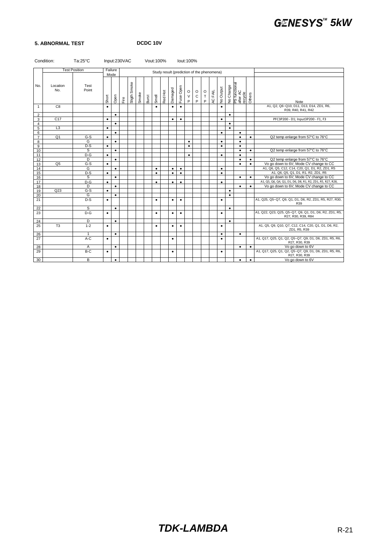#### **5. ABNORMAL TEST DCDC 10V**

|                | Condition:      | $Ta:25^{\circ}C$     |           | Input:230VAC<br>Vout: 100%<br>lout:100% |      |                  |       |       |           |                                            |           |           |                        |                              |                                  |         |           |           |                                      |           |                                                                              |
|----------------|-----------------|----------------------|-----------|-----------------------------------------|------|------------------|-------|-------|-----------|--------------------------------------------|-----------|-----------|------------------------|------------------------------|----------------------------------|---------|-----------|-----------|--------------------------------------|-----------|------------------------------------------------------------------------------|
|                |                 | <b>Test Position</b> |           | Failure<br>Mode                         |      |                  |       |       |           | Study result (prediction of the phenomena) |           |           |                        |                              |                                  |         |           |           |                                      |           |                                                                              |
| No.            | Location<br>No. | Test<br>Point        | Short     | Open                                    | Eire | Smoke<br>Sligth: | Smoke | Burst | Smell     | Red Hot                                    | Damaged   | Fuse Open | $\circ$<br>$\vee$<br>P | $\circ$<br>$\mathsf{C}$<br>P | $\mathsf O$<br>$\mathsf{T}$<br>P | AC FAIL | No Output | No Change | PS functional<br>after AC<br>recycle | Others    | Note                                                                         |
| $\mathbf{1}$   | C <sub>8</sub>  |                      | $\bullet$ |                                         |      |                  |       |       | $\bullet$ |                                            | $\bullet$ | $\bullet$ |                        |                              |                                  |         | $\bullet$ |           |                                      |           | A1, Q2, Q6~Q10, D11, D13, D14, ZD1, R6,<br>R39, R40, R41, R42                |
| 2              |                 |                      |           | $\bullet$                               |      |                  |       |       |           |                                            |           |           |                        |                              |                                  |         |           | $\bullet$ |                                      |           |                                                                              |
| 3              | C17             |                      | $\bullet$ |                                         |      |                  |       |       |           |                                            | $\bullet$ | $\bullet$ |                        |                              |                                  |         | $\bullet$ |           |                                      |           | PFC3P200 - D1; Input3P200 - F1, F3                                           |
| $\overline{4}$ |                 |                      |           | $\bullet$                               |      |                  |       |       |           |                                            |           |           |                        |                              |                                  |         |           | $\bullet$ |                                      |           |                                                                              |
| $\overline{5}$ | L3              |                      | $\bullet$ |                                         |      |                  |       |       |           |                                            |           |           |                        |                              |                                  |         |           | $\bullet$ |                                      |           |                                                                              |
| 6              |                 |                      |           | $\bullet$                               |      |                  |       |       |           |                                            |           |           |                        |                              |                                  |         | $\bullet$ |           | $\bullet$                            |           |                                                                              |
| $\overline{7}$ | Q1              | $G-S$<br>G           | $\bullet$ | $\bullet$                               |      |                  |       |       |           |                                            |           |           | $\bullet$              |                              |                                  |         | $\bullet$ |           | $\bullet$<br>$\bullet$               | $\bullet$ | Q2 temp enlarge from 57°C to 76°C                                            |
| 8<br>9         |                 | $D-S$                | $\bullet$ |                                         |      |                  |       |       |           |                                            |           |           | $\bullet$              |                              |                                  |         | $\bullet$ |           | $\bullet$                            |           |                                                                              |
| 10             |                 | S                    |           | $\bullet$                               |      |                  |       |       |           |                                            |           |           |                        |                              |                                  |         |           |           | $\bullet$                            | $\bullet$ | Q2 temp enlarge from 57°C to 76°C                                            |
| 11             |                 | $D-G$                | $\bullet$ |                                         |      |                  |       |       |           |                                            |           |           | $\bullet$              |                              |                                  |         | $\bullet$ |           | $\bullet$                            |           |                                                                              |
| 12             |                 | D                    |           | $\bullet$                               |      |                  |       |       |           |                                            |           |           |                        |                              |                                  |         |           |           | ٠                                    | $\bullet$ | Q2 temp enlarge from 57°C to 76°C                                            |
| 13             | Q <sub>5</sub>  | $G-S$                | $\bullet$ |                                         |      |                  |       |       |           |                                            |           |           |                        |                              |                                  |         |           |           | $\bullet$                            | $\bullet$ | Vo go down to 6V; Mode CV change to CC                                       |
| 14             |                 | G                    |           | $\bullet$                               |      |                  |       |       | $\bullet$ |                                            | $\bullet$ | $\bullet$ |                        |                              |                                  |         | $\bullet$ |           |                                      |           | A1, Q6, Q5, C12, C14, C20, Q1, D1, R2, ZD1, R5                               |
| 15             |                 | $D-S$                | $\bullet$ |                                         |      |                  |       |       | $\bullet$ |                                            | $\bullet$ | $\bullet$ |                        |                              |                                  |         | $\bullet$ |           |                                      |           | A1, Q6, Q5, Q1, D1, R1, R2, ZD1, R5                                          |
| 16             |                 | S                    |           | $\bullet$                               |      |                  |       |       |           |                                            |           |           |                        |                              |                                  |         |           |           | $\bullet$                            | $\bullet$ | Vo go down to 6V; Mode CV change to CC                                       |
| 17             |                 | $D-G$                | $\bullet$ |                                         |      |                  |       |       | $\bullet$ |                                            | $\bullet$ | $\bullet$ |                        |                              |                                  |         | $\bullet$ |           |                                      |           | A1, Q5, Q6, Q4, Q1, D1, D6, D8, R1, R2, ZD1, R5, R27, R28,                   |
| 18             |                 | D                    |           | $\bullet$                               |      |                  |       |       |           |                                            |           |           |                        |                              |                                  |         |           |           | $\bullet$                            | $\bullet$ | Vo go down to 6V; Mode CV change to CC                                       |
| 19             | Q23             | $G-S$                | $\bullet$ |                                         |      |                  |       |       |           |                                            |           |           |                        |                              |                                  |         |           | $\bullet$ |                                      |           |                                                                              |
| 20             |                 | G                    |           | $\bullet$                               |      |                  |       |       |           |                                            |           |           |                        |                              |                                  |         |           | $\bullet$ |                                      |           |                                                                              |
| 21             |                 | $D-S$                | $\bullet$ |                                         |      |                  |       |       | ٠         |                                            | $\bullet$ | $\bullet$ |                        |                              |                                  |         | $\bullet$ |           |                                      |           | A1, Q25, Q5~Q7, Q9, Q1, D1, D6, R2, ZD1, R5, R27, R30,<br>R39                |
| 22             |                 | S                    |           | $\bullet$                               |      |                  |       |       |           |                                            |           |           |                        |                              |                                  |         |           | $\bullet$ |                                      |           |                                                                              |
| 23             |                 | $D-G$                | $\bullet$ |                                         |      |                  |       |       | ٠         |                                            | ٠         | $\bullet$ |                        |                              |                                  |         | $\bullet$ |           |                                      |           | A1, Q22, Q23, Q25, Q5~Q7, Q9, Q1, D1, D6, R2, ZD1, R5,<br>R27, R30, R39, R84 |
| 24             |                 | D                    |           | $\bullet$                               |      |                  |       |       |           |                                            |           |           |                        |                              |                                  |         |           | $\bullet$ |                                      |           |                                                                              |
| 25             | T <sub>3</sub>  | $1 - 2$              | $\bullet$ |                                         |      |                  |       |       | $\bullet$ |                                            | $\bullet$ | $\bullet$ |                        |                              |                                  |         | $\bullet$ |           |                                      |           | A1, Q5, Q9, Q10, Q7, C12, C14, C20, Q1, D1, D6, R2,<br>ZD1, R5, R39          |
| 26             |                 | 1                    |           | $\bullet$                               |      |                  |       |       |           |                                            |           |           |                        |                              |                                  |         | $\bullet$ |           | $\bullet$                            |           |                                                                              |
| 27             |                 | A-C                  | $\bullet$ |                                         |      |                  |       |       |           |                                            | $\bullet$ |           |                        |                              |                                  |         | $\bullet$ |           |                                      |           | A1, Q17, Q25, Q1, Q2, Q5~Q7, Q9, D1, D6, ZD1, R5, R6,<br>R27, R30, R39       |
| 28             |                 | Α                    |           | $\bullet$                               |      |                  |       |       |           |                                            |           |           |                        |                              |                                  |         |           |           | $\bullet$                            | $\bullet$ | Vo go down to 6V                                                             |
| 29             |                 | B-C                  | $\bullet$ |                                         |      |                  |       |       |           |                                            | $\bullet$ |           |                        |                              |                                  |         | $\bullet$ |           |                                      |           | A1, Q17, Q25, Q1, Q2, Q5~Q7, Q9, D1, D6, ZD1, R5, R6,<br>R27, R30, R39       |
| 30             |                 | B                    |           | $\bullet$                               |      |                  |       |       |           |                                            |           |           |                        |                              |                                  |         |           |           | $\bullet$                            | $\bullet$ | Vo go down to 6V                                                             |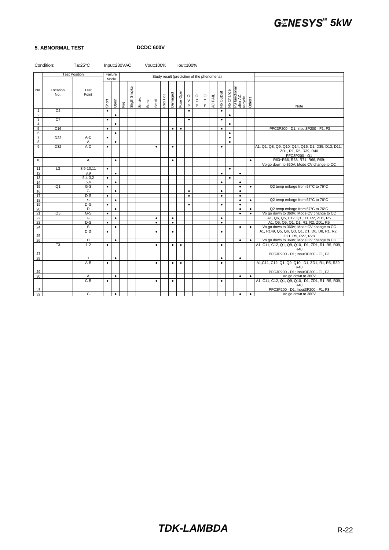#### **5. ABNORMAL TEST**

| DCDC 600V |  |
|-----------|--|
|-----------|--|

| <b>Test Position</b><br>Failure<br>Study result (prediction of the phenomena)<br>Mode<br>Sligth Smoke<br>PS functional<br>after AC<br>recycle<br>Others<br>Location<br>Test<br>No.<br>No Change<br>Fuse Open<br>No Output<br>Damaged<br>Point<br>No.<br>$\circ$<br>AC FAIL<br>Red Hot<br>$\circ$<br>$\frac{0}{T}$<br>Smoke<br>$\vee$<br>Smell<br>$\mathbf C$<br>Short<br>Open<br>Burst<br>Fire<br>P<br>P<br>P<br>Note<br>C <sub>4</sub><br>$\bullet$<br>$\mathbf{1}$<br>$\bullet$<br>$\bullet$<br>$\overline{2}$<br>$\bullet$<br>$\bullet$<br>C <sub>7</sub><br>3<br>$\bullet$<br>$\bullet$<br>$\bullet$<br>$\overline{4}$<br>$\bullet$<br>$\bullet$<br>5<br>C16<br>PFC3P200 - D1; Input3P200 - F1, F3<br>$\bullet$<br>$\bullet$<br>$\bullet$<br>$\bullet$<br>6<br>$\bullet$<br>$\bullet$<br>$\overline{7}$<br>$A-C$<br>D <sub>22</sub><br>$\bullet$<br>$\bullet$<br>$\overline{8}$<br>$\bullet$<br>A<br>$\bullet$<br>$\overline{9}$<br>$A-C$<br>A1, Q1, Q8, Q9, Q10, Q14, Q15, D1, D35, D13, D11,<br>D32<br>$\bullet$<br>$\bullet$<br>$\bullet$<br>$\bullet$<br>ZD1, R1, R5, R39, R40<br>PFC3P200 - Q1<br>R63~R66, R68, R71, R66, R69;<br>10<br>A<br>$\bullet$<br>$\bullet$<br>$\bullet$<br>Vo go down to 360V; Mode CV change to CC<br>11<br>L3<br>8.9-10,11<br>$\bullet$<br>$\bullet$<br>12<br>8,9<br>$\bullet$<br>$\bullet$<br>$\bullet$<br>13<br>$5,4-3,2$<br>$\bullet$<br>$\bullet$<br>14<br>5,4<br>$\bullet$<br>$\bullet$<br>$\bullet$<br>Q1<br>$G-S$<br>15<br>Q2 temp enlarge from 57°C to 76°C<br>$\bullet$<br>$\bullet$<br>$\bullet$<br>G<br>16<br>$\bullet$<br>$\bullet$<br>$\bullet$<br>$\bullet$<br>$D-S$<br>17<br>$\bullet$<br>$\bullet$<br>$\bullet$<br>$\bullet$<br>Q2 temp enlarge from 57°C to 76°C<br>18<br>s<br>$\bullet$<br>$\bullet$<br>$\bullet$<br>19<br>$D-G$<br>$\bullet$<br>$\bullet$<br>$\bullet$<br>$\bullet$<br>D<br>Q2 temp enlarge from 57°C to 76°C<br>20<br>$\bullet$<br>$\bullet$<br>$\bullet$<br>21<br>Q <sub>5</sub><br>$G-S$<br>Vo go down to 360V; Mode CV change to CC<br>$\bullet$<br>$\bullet$<br>$\bullet$<br>22<br>A1, Q6, Q5, C12, Q1, D1, R2, ZD1, R5<br>G<br>$\bullet$<br>$\bullet$<br>$\bullet$<br>$\bullet$<br>23<br>A1, Q6, Q5, Q1, D1, R1, R2, ZD1, R5<br>$D-S$<br>$\bullet$<br>$\bullet$<br>$\bullet$<br>$\bullet$<br>s<br>Vo go down to 360V; Mode CV change to CC<br>24<br>$\bullet$<br>$\bullet$<br>٠<br>$D-G$<br>A1, R149, Q5, Q6, Q3, Q1, D1, D6, D8, R1, R2,<br>$\bullet$<br>$\bullet$<br>$\bullet$<br>$\bullet$<br>25<br>ZD1, R5, R27, R28<br>D<br>Vo go down to 360V; Mode CV change to CC<br>26<br>$\bullet$<br>$\bullet$<br>$\bullet$<br>A1, C11, C12, Q1, Q9, Q10, D1, ZD1, R1, R5, R39,<br>T <sub>3</sub><br>$1 - 2$<br>$\bullet$<br>$\bullet$<br>$\bullet$<br>$\bullet$<br>$\bullet$<br>R40<br>27<br>PFC3P200 - D1; Input3P200 - F1, F3<br>28<br>$\mathbf{1}$<br>$\bullet$<br>$\bullet$<br>$\bullet$<br>A1, C11, C12, Q1, Q9, Q10, D1, ZD1, R1, R5, R39,<br>A-B<br>$\bullet$<br>$\bullet$<br>$\bullet$<br>$\bullet$<br>$\bullet$<br>R40<br>29<br>PFC3P200 - D1; Input3P200 - F1, F3<br>30<br>Vo go down to 360V<br>Α<br>$\bullet$<br>$\bullet$<br>$\bullet$<br>A1, C11, C12, Q1, Q9, Q10, D1, ZD1, R1, R5, R39,<br>$C-B$<br>$\bullet$<br>$\bullet$<br>٠<br>٠<br>R40<br>31<br>PFC3P200 - D1; Input3P200 - F1, F3 |    | Condition: | $Ta:25^{\circ}C$ | Input:230VAC |  | Vout: 100% |  |  | lout:100% |  |  |           |           |                    |
|----------------------------------------------------------------------------------------------------------------------------------------------------------------------------------------------------------------------------------------------------------------------------------------------------------------------------------------------------------------------------------------------------------------------------------------------------------------------------------------------------------------------------------------------------------------------------------------------------------------------------------------------------------------------------------------------------------------------------------------------------------------------------------------------------------------------------------------------------------------------------------------------------------------------------------------------------------------------------------------------------------------------------------------------------------------------------------------------------------------------------------------------------------------------------------------------------------------------------------------------------------------------------------------------------------------------------------------------------------------------------------------------------------------------------------------------------------------------------------------------------------------------------------------------------------------------------------------------------------------------------------------------------------------------------------------------------------------------------------------------------------------------------------------------------------------------------------------------------------------------------------------------------------------------------------------------------------------------------------------------------------------------------------------------------------------------------------------------------------------------------------------------------------------------------------------------------------------------------------------------------------------------------------------------------------------------------------------------------------------------------------------------------------------------------------------------------------------------------------------------------------------------------------------------------------------------------------------------------------------------------------------------------------------------------------------------------------------------------------------------------------------------------------------------------------------------------------------------------------------------------------------------------------------------------------------------------------------------------------------------------------------------------------------------------------------------------------------------------------------------------------------------------------------------------------------------------------------------------------------------------------------------------------|----|------------|------------------|--------------|--|------------|--|--|-----------|--|--|-----------|-----------|--------------------|
|                                                                                                                                                                                                                                                                                                                                                                                                                                                                                                                                                                                                                                                                                                                                                                                                                                                                                                                                                                                                                                                                                                                                                                                                                                                                                                                                                                                                                                                                                                                                                                                                                                                                                                                                                                                                                                                                                                                                                                                                                                                                                                                                                                                                                                                                                                                                                                                                                                                                                                                                                                                                                                                                                                                                                                                                                                                                                                                                                                                                                                                                                                                                                                                                                                                                                  |    |            |                  |              |  |            |  |  |           |  |  |           |           |                    |
|                                                                                                                                                                                                                                                                                                                                                                                                                                                                                                                                                                                                                                                                                                                                                                                                                                                                                                                                                                                                                                                                                                                                                                                                                                                                                                                                                                                                                                                                                                                                                                                                                                                                                                                                                                                                                                                                                                                                                                                                                                                                                                                                                                                                                                                                                                                                                                                                                                                                                                                                                                                                                                                                                                                                                                                                                                                                                                                                                                                                                                                                                                                                                                                                                                                                                  |    |            |                  |              |  |            |  |  |           |  |  |           |           |                    |
|                                                                                                                                                                                                                                                                                                                                                                                                                                                                                                                                                                                                                                                                                                                                                                                                                                                                                                                                                                                                                                                                                                                                                                                                                                                                                                                                                                                                                                                                                                                                                                                                                                                                                                                                                                                                                                                                                                                                                                                                                                                                                                                                                                                                                                                                                                                                                                                                                                                                                                                                                                                                                                                                                                                                                                                                                                                                                                                                                                                                                                                                                                                                                                                                                                                                                  |    |            |                  |              |  |            |  |  |           |  |  |           |           |                    |
|                                                                                                                                                                                                                                                                                                                                                                                                                                                                                                                                                                                                                                                                                                                                                                                                                                                                                                                                                                                                                                                                                                                                                                                                                                                                                                                                                                                                                                                                                                                                                                                                                                                                                                                                                                                                                                                                                                                                                                                                                                                                                                                                                                                                                                                                                                                                                                                                                                                                                                                                                                                                                                                                                                                                                                                                                                                                                                                                                                                                                                                                                                                                                                                                                                                                                  |    |            |                  |              |  |            |  |  |           |  |  |           |           |                    |
|                                                                                                                                                                                                                                                                                                                                                                                                                                                                                                                                                                                                                                                                                                                                                                                                                                                                                                                                                                                                                                                                                                                                                                                                                                                                                                                                                                                                                                                                                                                                                                                                                                                                                                                                                                                                                                                                                                                                                                                                                                                                                                                                                                                                                                                                                                                                                                                                                                                                                                                                                                                                                                                                                                                                                                                                                                                                                                                                                                                                                                                                                                                                                                                                                                                                                  |    |            |                  |              |  |            |  |  |           |  |  |           |           |                    |
|                                                                                                                                                                                                                                                                                                                                                                                                                                                                                                                                                                                                                                                                                                                                                                                                                                                                                                                                                                                                                                                                                                                                                                                                                                                                                                                                                                                                                                                                                                                                                                                                                                                                                                                                                                                                                                                                                                                                                                                                                                                                                                                                                                                                                                                                                                                                                                                                                                                                                                                                                                                                                                                                                                                                                                                                                                                                                                                                                                                                                                                                                                                                                                                                                                                                                  |    |            |                  |              |  |            |  |  |           |  |  |           |           |                    |
|                                                                                                                                                                                                                                                                                                                                                                                                                                                                                                                                                                                                                                                                                                                                                                                                                                                                                                                                                                                                                                                                                                                                                                                                                                                                                                                                                                                                                                                                                                                                                                                                                                                                                                                                                                                                                                                                                                                                                                                                                                                                                                                                                                                                                                                                                                                                                                                                                                                                                                                                                                                                                                                                                                                                                                                                                                                                                                                                                                                                                                                                                                                                                                                                                                                                                  |    |            |                  |              |  |            |  |  |           |  |  |           |           |                    |
|                                                                                                                                                                                                                                                                                                                                                                                                                                                                                                                                                                                                                                                                                                                                                                                                                                                                                                                                                                                                                                                                                                                                                                                                                                                                                                                                                                                                                                                                                                                                                                                                                                                                                                                                                                                                                                                                                                                                                                                                                                                                                                                                                                                                                                                                                                                                                                                                                                                                                                                                                                                                                                                                                                                                                                                                                                                                                                                                                                                                                                                                                                                                                                                                                                                                                  |    |            |                  |              |  |            |  |  |           |  |  |           |           |                    |
|                                                                                                                                                                                                                                                                                                                                                                                                                                                                                                                                                                                                                                                                                                                                                                                                                                                                                                                                                                                                                                                                                                                                                                                                                                                                                                                                                                                                                                                                                                                                                                                                                                                                                                                                                                                                                                                                                                                                                                                                                                                                                                                                                                                                                                                                                                                                                                                                                                                                                                                                                                                                                                                                                                                                                                                                                                                                                                                                                                                                                                                                                                                                                                                                                                                                                  |    |            |                  |              |  |            |  |  |           |  |  |           |           |                    |
|                                                                                                                                                                                                                                                                                                                                                                                                                                                                                                                                                                                                                                                                                                                                                                                                                                                                                                                                                                                                                                                                                                                                                                                                                                                                                                                                                                                                                                                                                                                                                                                                                                                                                                                                                                                                                                                                                                                                                                                                                                                                                                                                                                                                                                                                                                                                                                                                                                                                                                                                                                                                                                                                                                                                                                                                                                                                                                                                                                                                                                                                                                                                                                                                                                                                                  |    |            |                  |              |  |            |  |  |           |  |  |           |           |                    |
|                                                                                                                                                                                                                                                                                                                                                                                                                                                                                                                                                                                                                                                                                                                                                                                                                                                                                                                                                                                                                                                                                                                                                                                                                                                                                                                                                                                                                                                                                                                                                                                                                                                                                                                                                                                                                                                                                                                                                                                                                                                                                                                                                                                                                                                                                                                                                                                                                                                                                                                                                                                                                                                                                                                                                                                                                                                                                                                                                                                                                                                                                                                                                                                                                                                                                  |    |            |                  |              |  |            |  |  |           |  |  |           |           |                    |
|                                                                                                                                                                                                                                                                                                                                                                                                                                                                                                                                                                                                                                                                                                                                                                                                                                                                                                                                                                                                                                                                                                                                                                                                                                                                                                                                                                                                                                                                                                                                                                                                                                                                                                                                                                                                                                                                                                                                                                                                                                                                                                                                                                                                                                                                                                                                                                                                                                                                                                                                                                                                                                                                                                                                                                                                                                                                                                                                                                                                                                                                                                                                                                                                                                                                                  |    |            |                  |              |  |            |  |  |           |  |  |           |           |                    |
|                                                                                                                                                                                                                                                                                                                                                                                                                                                                                                                                                                                                                                                                                                                                                                                                                                                                                                                                                                                                                                                                                                                                                                                                                                                                                                                                                                                                                                                                                                                                                                                                                                                                                                                                                                                                                                                                                                                                                                                                                                                                                                                                                                                                                                                                                                                                                                                                                                                                                                                                                                                                                                                                                                                                                                                                                                                                                                                                                                                                                                                                                                                                                                                                                                                                                  |    |            |                  |              |  |            |  |  |           |  |  |           |           |                    |
|                                                                                                                                                                                                                                                                                                                                                                                                                                                                                                                                                                                                                                                                                                                                                                                                                                                                                                                                                                                                                                                                                                                                                                                                                                                                                                                                                                                                                                                                                                                                                                                                                                                                                                                                                                                                                                                                                                                                                                                                                                                                                                                                                                                                                                                                                                                                                                                                                                                                                                                                                                                                                                                                                                                                                                                                                                                                                                                                                                                                                                                                                                                                                                                                                                                                                  |    |            |                  |              |  |            |  |  |           |  |  |           |           |                    |
|                                                                                                                                                                                                                                                                                                                                                                                                                                                                                                                                                                                                                                                                                                                                                                                                                                                                                                                                                                                                                                                                                                                                                                                                                                                                                                                                                                                                                                                                                                                                                                                                                                                                                                                                                                                                                                                                                                                                                                                                                                                                                                                                                                                                                                                                                                                                                                                                                                                                                                                                                                                                                                                                                                                                                                                                                                                                                                                                                                                                                                                                                                                                                                                                                                                                                  |    |            |                  |              |  |            |  |  |           |  |  |           |           |                    |
|                                                                                                                                                                                                                                                                                                                                                                                                                                                                                                                                                                                                                                                                                                                                                                                                                                                                                                                                                                                                                                                                                                                                                                                                                                                                                                                                                                                                                                                                                                                                                                                                                                                                                                                                                                                                                                                                                                                                                                                                                                                                                                                                                                                                                                                                                                                                                                                                                                                                                                                                                                                                                                                                                                                                                                                                                                                                                                                                                                                                                                                                                                                                                                                                                                                                                  |    |            |                  |              |  |            |  |  |           |  |  |           |           |                    |
|                                                                                                                                                                                                                                                                                                                                                                                                                                                                                                                                                                                                                                                                                                                                                                                                                                                                                                                                                                                                                                                                                                                                                                                                                                                                                                                                                                                                                                                                                                                                                                                                                                                                                                                                                                                                                                                                                                                                                                                                                                                                                                                                                                                                                                                                                                                                                                                                                                                                                                                                                                                                                                                                                                                                                                                                                                                                                                                                                                                                                                                                                                                                                                                                                                                                                  |    |            |                  |              |  |            |  |  |           |  |  |           |           |                    |
|                                                                                                                                                                                                                                                                                                                                                                                                                                                                                                                                                                                                                                                                                                                                                                                                                                                                                                                                                                                                                                                                                                                                                                                                                                                                                                                                                                                                                                                                                                                                                                                                                                                                                                                                                                                                                                                                                                                                                                                                                                                                                                                                                                                                                                                                                                                                                                                                                                                                                                                                                                                                                                                                                                                                                                                                                                                                                                                                                                                                                                                                                                                                                                                                                                                                                  |    |            |                  |              |  |            |  |  |           |  |  |           |           |                    |
|                                                                                                                                                                                                                                                                                                                                                                                                                                                                                                                                                                                                                                                                                                                                                                                                                                                                                                                                                                                                                                                                                                                                                                                                                                                                                                                                                                                                                                                                                                                                                                                                                                                                                                                                                                                                                                                                                                                                                                                                                                                                                                                                                                                                                                                                                                                                                                                                                                                                                                                                                                                                                                                                                                                                                                                                                                                                                                                                                                                                                                                                                                                                                                                                                                                                                  |    |            |                  |              |  |            |  |  |           |  |  |           |           |                    |
|                                                                                                                                                                                                                                                                                                                                                                                                                                                                                                                                                                                                                                                                                                                                                                                                                                                                                                                                                                                                                                                                                                                                                                                                                                                                                                                                                                                                                                                                                                                                                                                                                                                                                                                                                                                                                                                                                                                                                                                                                                                                                                                                                                                                                                                                                                                                                                                                                                                                                                                                                                                                                                                                                                                                                                                                                                                                                                                                                                                                                                                                                                                                                                                                                                                                                  |    |            |                  |              |  |            |  |  |           |  |  |           |           |                    |
|                                                                                                                                                                                                                                                                                                                                                                                                                                                                                                                                                                                                                                                                                                                                                                                                                                                                                                                                                                                                                                                                                                                                                                                                                                                                                                                                                                                                                                                                                                                                                                                                                                                                                                                                                                                                                                                                                                                                                                                                                                                                                                                                                                                                                                                                                                                                                                                                                                                                                                                                                                                                                                                                                                                                                                                                                                                                                                                                                                                                                                                                                                                                                                                                                                                                                  |    |            |                  |              |  |            |  |  |           |  |  |           |           |                    |
|                                                                                                                                                                                                                                                                                                                                                                                                                                                                                                                                                                                                                                                                                                                                                                                                                                                                                                                                                                                                                                                                                                                                                                                                                                                                                                                                                                                                                                                                                                                                                                                                                                                                                                                                                                                                                                                                                                                                                                                                                                                                                                                                                                                                                                                                                                                                                                                                                                                                                                                                                                                                                                                                                                                                                                                                                                                                                                                                                                                                                                                                                                                                                                                                                                                                                  |    |            |                  |              |  |            |  |  |           |  |  |           |           |                    |
|                                                                                                                                                                                                                                                                                                                                                                                                                                                                                                                                                                                                                                                                                                                                                                                                                                                                                                                                                                                                                                                                                                                                                                                                                                                                                                                                                                                                                                                                                                                                                                                                                                                                                                                                                                                                                                                                                                                                                                                                                                                                                                                                                                                                                                                                                                                                                                                                                                                                                                                                                                                                                                                                                                                                                                                                                                                                                                                                                                                                                                                                                                                                                                                                                                                                                  |    |            |                  |              |  |            |  |  |           |  |  |           |           |                    |
|                                                                                                                                                                                                                                                                                                                                                                                                                                                                                                                                                                                                                                                                                                                                                                                                                                                                                                                                                                                                                                                                                                                                                                                                                                                                                                                                                                                                                                                                                                                                                                                                                                                                                                                                                                                                                                                                                                                                                                                                                                                                                                                                                                                                                                                                                                                                                                                                                                                                                                                                                                                                                                                                                                                                                                                                                                                                                                                                                                                                                                                                                                                                                                                                                                                                                  |    |            |                  |              |  |            |  |  |           |  |  |           |           |                    |
|                                                                                                                                                                                                                                                                                                                                                                                                                                                                                                                                                                                                                                                                                                                                                                                                                                                                                                                                                                                                                                                                                                                                                                                                                                                                                                                                                                                                                                                                                                                                                                                                                                                                                                                                                                                                                                                                                                                                                                                                                                                                                                                                                                                                                                                                                                                                                                                                                                                                                                                                                                                                                                                                                                                                                                                                                                                                                                                                                                                                                                                                                                                                                                                                                                                                                  |    |            |                  |              |  |            |  |  |           |  |  |           |           |                    |
|                                                                                                                                                                                                                                                                                                                                                                                                                                                                                                                                                                                                                                                                                                                                                                                                                                                                                                                                                                                                                                                                                                                                                                                                                                                                                                                                                                                                                                                                                                                                                                                                                                                                                                                                                                                                                                                                                                                                                                                                                                                                                                                                                                                                                                                                                                                                                                                                                                                                                                                                                                                                                                                                                                                                                                                                                                                                                                                                                                                                                                                                                                                                                                                                                                                                                  |    |            |                  |              |  |            |  |  |           |  |  |           |           |                    |
|                                                                                                                                                                                                                                                                                                                                                                                                                                                                                                                                                                                                                                                                                                                                                                                                                                                                                                                                                                                                                                                                                                                                                                                                                                                                                                                                                                                                                                                                                                                                                                                                                                                                                                                                                                                                                                                                                                                                                                                                                                                                                                                                                                                                                                                                                                                                                                                                                                                                                                                                                                                                                                                                                                                                                                                                                                                                                                                                                                                                                                                                                                                                                                                                                                                                                  |    |            |                  |              |  |            |  |  |           |  |  |           |           |                    |
|                                                                                                                                                                                                                                                                                                                                                                                                                                                                                                                                                                                                                                                                                                                                                                                                                                                                                                                                                                                                                                                                                                                                                                                                                                                                                                                                                                                                                                                                                                                                                                                                                                                                                                                                                                                                                                                                                                                                                                                                                                                                                                                                                                                                                                                                                                                                                                                                                                                                                                                                                                                                                                                                                                                                                                                                                                                                                                                                                                                                                                                                                                                                                                                                                                                                                  |    |            |                  |              |  |            |  |  |           |  |  |           |           |                    |
|                                                                                                                                                                                                                                                                                                                                                                                                                                                                                                                                                                                                                                                                                                                                                                                                                                                                                                                                                                                                                                                                                                                                                                                                                                                                                                                                                                                                                                                                                                                                                                                                                                                                                                                                                                                                                                                                                                                                                                                                                                                                                                                                                                                                                                                                                                                                                                                                                                                                                                                                                                                                                                                                                                                                                                                                                                                                                                                                                                                                                                                                                                                                                                                                                                                                                  |    |            |                  |              |  |            |  |  |           |  |  |           |           |                    |
|                                                                                                                                                                                                                                                                                                                                                                                                                                                                                                                                                                                                                                                                                                                                                                                                                                                                                                                                                                                                                                                                                                                                                                                                                                                                                                                                                                                                                                                                                                                                                                                                                                                                                                                                                                                                                                                                                                                                                                                                                                                                                                                                                                                                                                                                                                                                                                                                                                                                                                                                                                                                                                                                                                                                                                                                                                                                                                                                                                                                                                                                                                                                                                                                                                                                                  |    |            |                  |              |  |            |  |  |           |  |  |           |           |                    |
|                                                                                                                                                                                                                                                                                                                                                                                                                                                                                                                                                                                                                                                                                                                                                                                                                                                                                                                                                                                                                                                                                                                                                                                                                                                                                                                                                                                                                                                                                                                                                                                                                                                                                                                                                                                                                                                                                                                                                                                                                                                                                                                                                                                                                                                                                                                                                                                                                                                                                                                                                                                                                                                                                                                                                                                                                                                                                                                                                                                                                                                                                                                                                                                                                                                                                  |    |            |                  |              |  |            |  |  |           |  |  |           |           |                    |
|                                                                                                                                                                                                                                                                                                                                                                                                                                                                                                                                                                                                                                                                                                                                                                                                                                                                                                                                                                                                                                                                                                                                                                                                                                                                                                                                                                                                                                                                                                                                                                                                                                                                                                                                                                                                                                                                                                                                                                                                                                                                                                                                                                                                                                                                                                                                                                                                                                                                                                                                                                                                                                                                                                                                                                                                                                                                                                                                                                                                                                                                                                                                                                                                                                                                                  |    |            |                  |              |  |            |  |  |           |  |  |           |           |                    |
|                                                                                                                                                                                                                                                                                                                                                                                                                                                                                                                                                                                                                                                                                                                                                                                                                                                                                                                                                                                                                                                                                                                                                                                                                                                                                                                                                                                                                                                                                                                                                                                                                                                                                                                                                                                                                                                                                                                                                                                                                                                                                                                                                                                                                                                                                                                                                                                                                                                                                                                                                                                                                                                                                                                                                                                                                                                                                                                                                                                                                                                                                                                                                                                                                                                                                  |    |            |                  |              |  |            |  |  |           |  |  |           |           |                    |
|                                                                                                                                                                                                                                                                                                                                                                                                                                                                                                                                                                                                                                                                                                                                                                                                                                                                                                                                                                                                                                                                                                                                                                                                                                                                                                                                                                                                                                                                                                                                                                                                                                                                                                                                                                                                                                                                                                                                                                                                                                                                                                                                                                                                                                                                                                                                                                                                                                                                                                                                                                                                                                                                                                                                                                                                                                                                                                                                                                                                                                                                                                                                                                                                                                                                                  |    |            |                  |              |  |            |  |  |           |  |  |           |           |                    |
|                                                                                                                                                                                                                                                                                                                                                                                                                                                                                                                                                                                                                                                                                                                                                                                                                                                                                                                                                                                                                                                                                                                                                                                                                                                                                                                                                                                                                                                                                                                                                                                                                                                                                                                                                                                                                                                                                                                                                                                                                                                                                                                                                                                                                                                                                                                                                                                                                                                                                                                                                                                                                                                                                                                                                                                                                                                                                                                                                                                                                                                                                                                                                                                                                                                                                  |    |            |                  |              |  |            |  |  |           |  |  |           |           |                    |
|                                                                                                                                                                                                                                                                                                                                                                                                                                                                                                                                                                                                                                                                                                                                                                                                                                                                                                                                                                                                                                                                                                                                                                                                                                                                                                                                                                                                                                                                                                                                                                                                                                                                                                                                                                                                                                                                                                                                                                                                                                                                                                                                                                                                                                                                                                                                                                                                                                                                                                                                                                                                                                                                                                                                                                                                                                                                                                                                                                                                                                                                                                                                                                                                                                                                                  |    |            |                  |              |  |            |  |  |           |  |  |           |           |                    |
|                                                                                                                                                                                                                                                                                                                                                                                                                                                                                                                                                                                                                                                                                                                                                                                                                                                                                                                                                                                                                                                                                                                                                                                                                                                                                                                                                                                                                                                                                                                                                                                                                                                                                                                                                                                                                                                                                                                                                                                                                                                                                                                                                                                                                                                                                                                                                                                                                                                                                                                                                                                                                                                                                                                                                                                                                                                                                                                                                                                                                                                                                                                                                                                                                                                                                  |    |            |                  |              |  |            |  |  |           |  |  |           |           |                    |
|                                                                                                                                                                                                                                                                                                                                                                                                                                                                                                                                                                                                                                                                                                                                                                                                                                                                                                                                                                                                                                                                                                                                                                                                                                                                                                                                                                                                                                                                                                                                                                                                                                                                                                                                                                                                                                                                                                                                                                                                                                                                                                                                                                                                                                                                                                                                                                                                                                                                                                                                                                                                                                                                                                                                                                                                                                                                                                                                                                                                                                                                                                                                                                                                                                                                                  | 32 |            | C                | $\bullet$    |  |            |  |  |           |  |  | $\bullet$ | $\bullet$ | Vo go down to 360V |